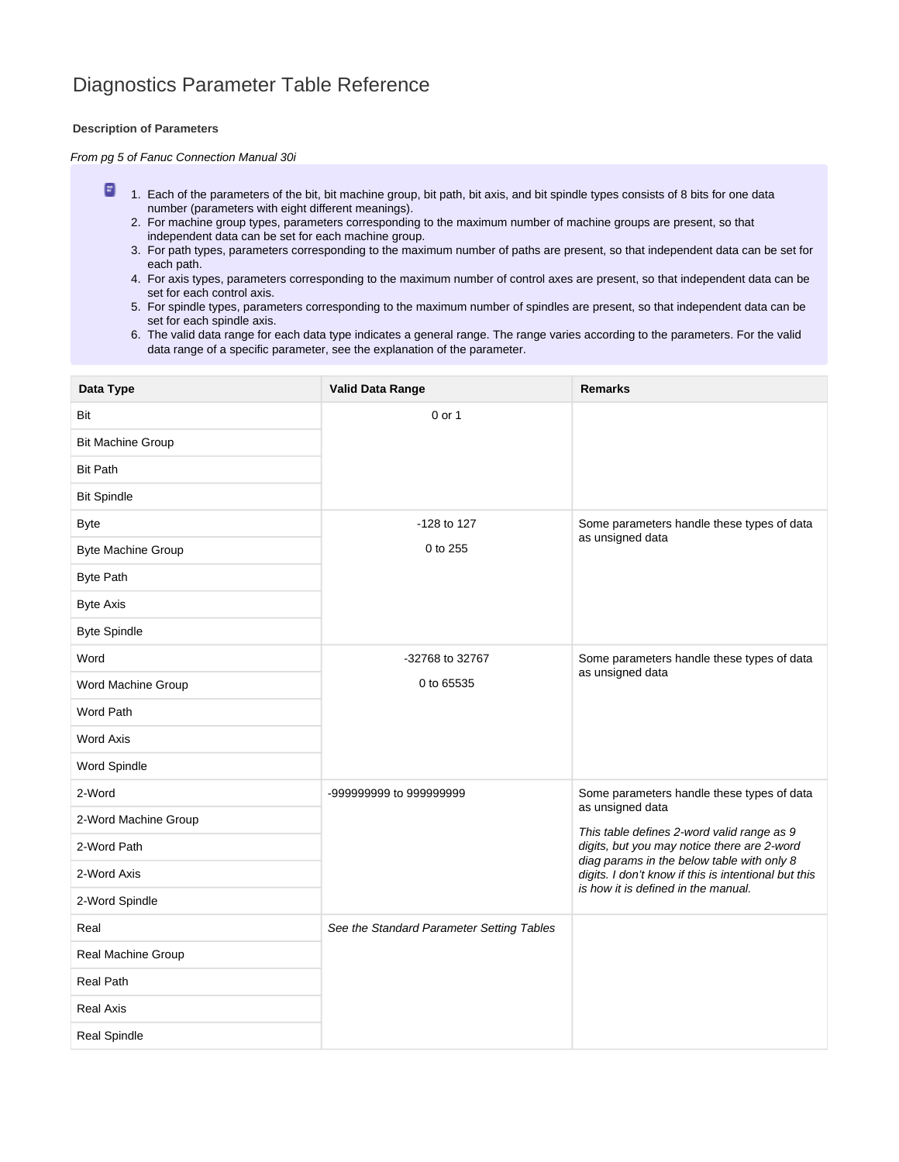## Diagnostics Parameter Table Reference

## **Description of Parameters**

From pg 5 of Fanuc Connection Manual 30i

- 1. Each of the parameters of the bit, bit machine group, bit path, bit axis, and bit spindle types consists of 8 bits for one data number (parameters with eight different meanings).
	- 2. For machine group types, parameters corresponding to the maximum number of machine groups are present, so that independent data can be set for each machine group.
	- 3. For path types, parameters corresponding to the maximum number of paths are present, so that independent data can be set for each path.
	- 4. For axis types, parameters corresponding to the maximum number of control axes are present, so that independent data can be set for each control axis.
	- 5. For spindle types, parameters corresponding to the maximum number of spindles are present, so that independent data can be set for each spindle axis.
	- 6. The valid data range for each data type indicates a general range. The range varies according to the parameters. For the valid data range of a specific parameter, see the explanation of the parameter.

| Data Type                 | <b>Valid Data Range</b>                   | <b>Remarks</b>                                                                                               |  |
|---------------------------|-------------------------------------------|--------------------------------------------------------------------------------------------------------------|--|
| Bit                       | 0 or 1                                    |                                                                                                              |  |
| <b>Bit Machine Group</b>  |                                           |                                                                                                              |  |
| <b>Bit Path</b>           |                                           |                                                                                                              |  |
| <b>Bit Spindle</b>        |                                           |                                                                                                              |  |
| <b>Byte</b>               | -128 to 127                               | Some parameters handle these types of data                                                                   |  |
| <b>Byte Machine Group</b> | 0 to 255                                  | as unsigned data                                                                                             |  |
| <b>Byte Path</b>          |                                           |                                                                                                              |  |
| <b>Byte Axis</b>          |                                           |                                                                                                              |  |
| <b>Byte Spindle</b>       |                                           |                                                                                                              |  |
| Word                      | -32768 to 32767                           | Some parameters handle these types of data<br>as unsigned data                                               |  |
| Word Machine Group        | 0 to 65535                                |                                                                                                              |  |
| <b>Word Path</b>          |                                           |                                                                                                              |  |
| <b>Word Axis</b>          |                                           |                                                                                                              |  |
| Word Spindle              |                                           |                                                                                                              |  |
| 2-Word                    | -999999999 to 999999999                   | Some parameters handle these types of data<br>as unsigned data<br>This table defines 2-word valid range as 9 |  |
| 2-Word Machine Group      |                                           |                                                                                                              |  |
| 2-Word Path               |                                           | digits, but you may notice there are 2-word<br>diag params in the below table with only 8                    |  |
| 2-Word Axis               |                                           | digits. I don't know if this is intentional but this<br>is how it is defined in the manual.                  |  |
| 2-Word Spindle            |                                           |                                                                                                              |  |
| Real                      | See the Standard Parameter Setting Tables |                                                                                                              |  |
| Real Machine Group        |                                           |                                                                                                              |  |
| <b>Real Path</b>          |                                           |                                                                                                              |  |
| Real Axis                 |                                           |                                                                                                              |  |
| Real Spindle              |                                           |                                                                                                              |  |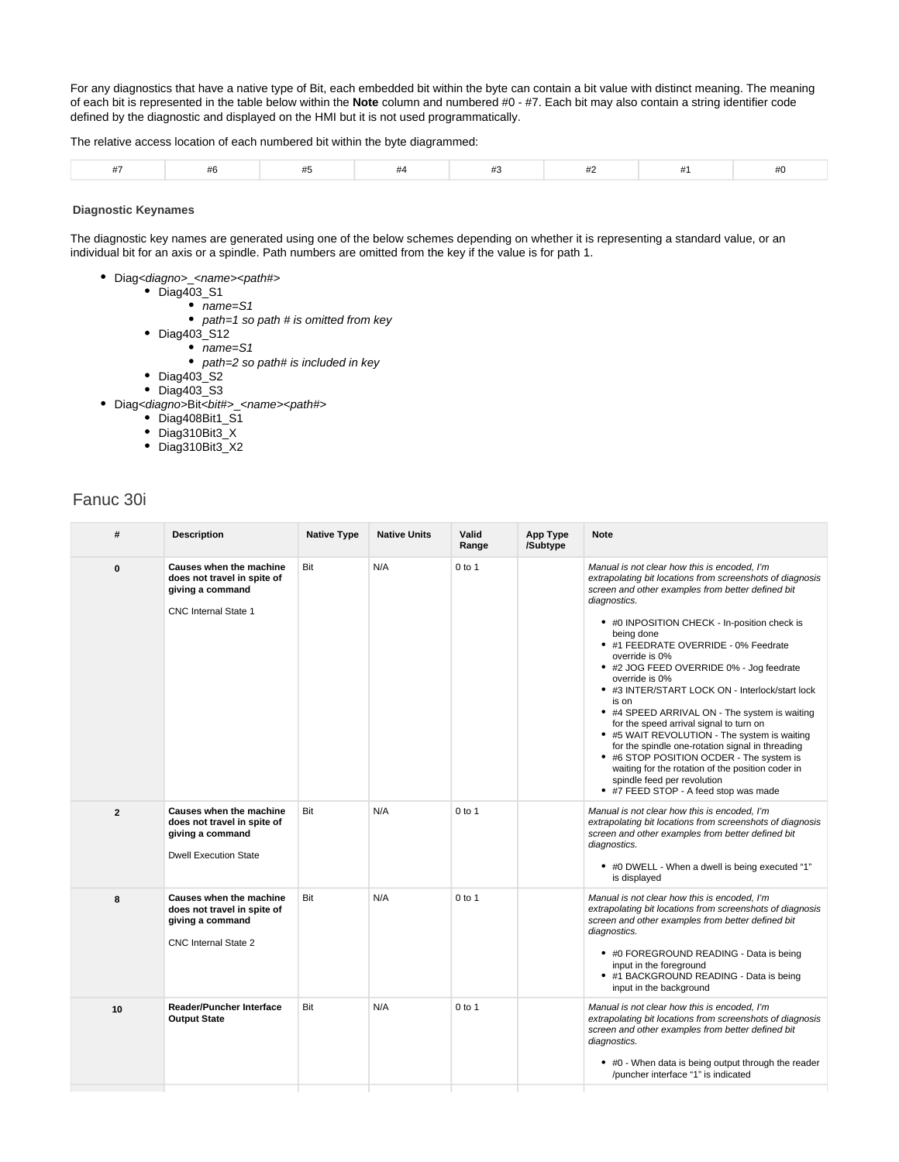For any diagnostics that have a native type of Bit, each embedded bit within the byte can contain a bit value with distinct meaning. The meaning of each bit is represented in the table below within the **Note** column and numbered #0 - #7. Each bit may also contain a string identifier code defined by the diagnostic and displayed on the HMI but it is not used programmatically.

The relative access location of each numbered bit within the byte diagrammed:

| $\sim$ |
|--------|
|--------|

## **Diagnostic Keynames**

The diagnostic key names are generated using one of the below schemes depending on whether it is representing a standard value, or an individual bit for an axis or a spindle. Path numbers are omitted from the key if the value is for path 1.

- Diag<diagno>\_<name><path#>
	- $\bullet$  Diag403\_S1
		- name=S1
			- path=1 so path # is omitted from key
	- Diag403\_S12
		- name=S1
		- path=2 so path# is included in key
	- Diag403\_S2
	- Diag403\_S3
- Diag<diagno>Bit<br/>sit#>\_<name><path#>
	- Diag408Bit1\_S1
	- Diag310Bit3\_X
	- Diag310Bit3\_X2

## Fanuc 30i

| #              | <b>Description</b>                                                                                         | <b>Native Type</b> | <b>Native Units</b> | Valid<br>Range | App Type<br>/Subtype | <b>Note</b>                                                                                                                                                                                                                                                                                                                                                                                                                                                                                                                                                                                                                                                                                                                                                                                               |
|----------------|------------------------------------------------------------------------------------------------------------|--------------------|---------------------|----------------|----------------------|-----------------------------------------------------------------------------------------------------------------------------------------------------------------------------------------------------------------------------------------------------------------------------------------------------------------------------------------------------------------------------------------------------------------------------------------------------------------------------------------------------------------------------------------------------------------------------------------------------------------------------------------------------------------------------------------------------------------------------------------------------------------------------------------------------------|
| $\bf{0}$       | Causes when the machine<br>does not travel in spite of<br>giving a command<br><b>CNC Internal State 1</b>  | Bit                | N/A                 | $0$ to 1       |                      | Manual is not clear how this is encoded, I'm<br>extrapolating bit locations from screenshots of diagnosis<br>screen and other examples from better defined bit<br>diagnostics.<br>• #0 INPOSITION CHECK - In-position check is<br>being done<br>• #1 FEEDRATE OVERRIDE - 0% Feedrate<br>override is 0%<br>• #2 JOG FEED OVERRIDE 0% - Jog feedrate<br>override is 0%<br>• #3 INTER/START LOCK ON - Interlock/start lock<br>is on<br>• #4 SPEED ARRIVAL ON - The system is waiting<br>for the speed arrival signal to turn on<br>• #5 WAIT REVOLUTION - The system is waiting<br>for the spindle one-rotation signal in threading<br>• #6 STOP POSITION OCDER - The system is<br>waiting for the rotation of the position coder in<br>spindle feed per revolution<br>• #7 FEED STOP - A feed stop was made |
| $\overline{2}$ | Causes when the machine<br>does not travel in spite of<br>giving a command<br><b>Dwell Execution State</b> | Bit                | N/A                 | $0$ to 1       |                      | Manual is not clear how this is encoded. I'm<br>extrapolating bit locations from screenshots of diagnosis<br>screen and other examples from better defined bit<br>diagnostics.<br>• #0 DWELL - When a dwell is being executed "1"<br>is displayed                                                                                                                                                                                                                                                                                                                                                                                                                                                                                                                                                         |
| 8              | Causes when the machine<br>does not travel in spite of<br>giving a command<br><b>CNC Internal State 2</b>  | Bit                | N/A                 | $0$ to 1       |                      | Manual is not clear how this is encoded. I'm<br>extrapolating bit locations from screenshots of diagnosis<br>screen and other examples from better defined bit<br>diagnostics.<br>• #0 FOREGROUND READING - Data is being<br>input in the foreground<br>• #1 BACKGROUND READING - Data is being<br>input in the background                                                                                                                                                                                                                                                                                                                                                                                                                                                                                |
| 10             | <b>Reader/Puncher Interface</b><br><b>Output State</b>                                                     | Bit                | N/A                 | $0$ to 1       |                      | Manual is not clear how this is encoded. I'm<br>extrapolating bit locations from screenshots of diagnosis<br>screen and other examples from better defined bit<br>diagnostics.<br>• #0 - When data is being output through the reader<br>/puncher interface "1" is indicated                                                                                                                                                                                                                                                                                                                                                                                                                                                                                                                              |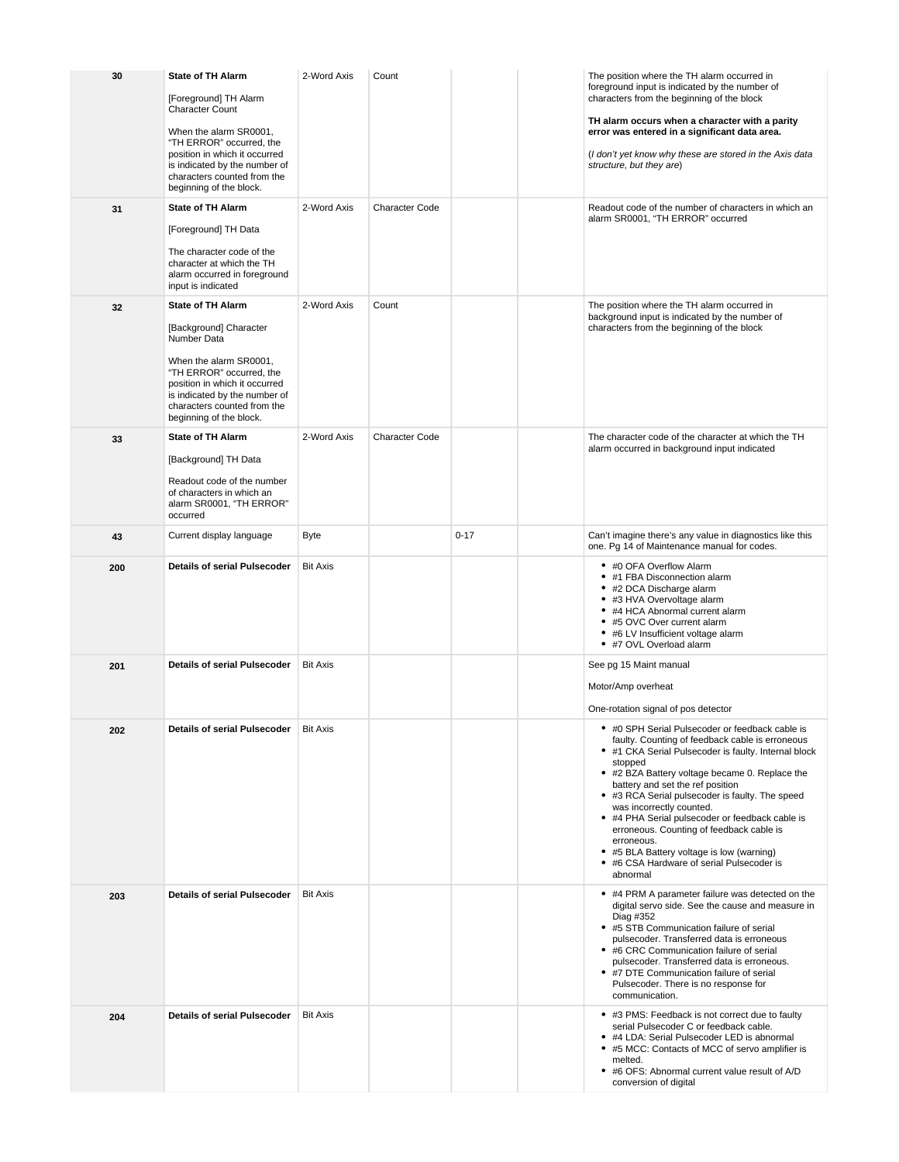| 30  | <b>State of TH Alarm</b><br>[Foreground] TH Alarm<br><b>Character Count</b>                                                                                                                                                                         | 2-Word Axis     | Count                 |          | The position where the TH alarm occurred in<br>foreground input is indicated by the number of<br>characters from the beginning of the block                                                                                                                                                                                                                                                                                                                                                                                                                   |
|-----|-----------------------------------------------------------------------------------------------------------------------------------------------------------------------------------------------------------------------------------------------------|-----------------|-----------------------|----------|---------------------------------------------------------------------------------------------------------------------------------------------------------------------------------------------------------------------------------------------------------------------------------------------------------------------------------------------------------------------------------------------------------------------------------------------------------------------------------------------------------------------------------------------------------------|
|     | When the alarm SR0001,<br>"TH ERROR" occurred, the<br>position in which it occurred<br>is indicated by the number of<br>characters counted from the<br>beginning of the block.                                                                      |                 |                       |          | TH alarm occurs when a character with a parity<br>error was entered in a significant data area.<br>(I don't yet know why these are stored in the Axis data<br>structure, but they are)                                                                                                                                                                                                                                                                                                                                                                        |
| 31  | <b>State of TH Alarm</b><br>[Foreground] TH Data<br>The character code of the<br>character at which the TH<br>alarm occurred in foreground<br>input is indicated                                                                                    | 2-Word Axis     | <b>Character Code</b> |          | Readout code of the number of characters in which an<br>alarm SR0001, "TH ERROR" occurred                                                                                                                                                                                                                                                                                                                                                                                                                                                                     |
| 32  | <b>State of TH Alarm</b><br>[Background] Character<br>Number Data<br>When the alarm SR0001,<br>"TH ERROR" occurred, the<br>position in which it occurred<br>is indicated by the number of<br>characters counted from the<br>beginning of the block. | 2-Word Axis     | Count                 |          | The position where the TH alarm occurred in<br>background input is indicated by the number of<br>characters from the beginning of the block                                                                                                                                                                                                                                                                                                                                                                                                                   |
| 33  | <b>State of TH Alarm</b><br>[Background] TH Data<br>Readout code of the number<br>of characters in which an<br>alarm SR0001, "TH ERROR"<br>occurred                                                                                                 | 2-Word Axis     | Character Code        |          | The character code of the character at which the TH<br>alarm occurred in background input indicated                                                                                                                                                                                                                                                                                                                                                                                                                                                           |
| 43  | Current display language                                                                                                                                                                                                                            | Byte            |                       | $0 - 17$ | Can't imagine there's any value in diagnostics like this<br>one. Pg 14 of Maintenance manual for codes.                                                                                                                                                                                                                                                                                                                                                                                                                                                       |
| 200 | <b>Details of serial Pulsecoder</b>                                                                                                                                                                                                                 | <b>Bit Axis</b> |                       |          | • #0 OFA Overflow Alarm<br>• #1 FBA Disconnection alarm<br>• #2 DCA Discharge alarm<br>• #3 HVA Overvoltage alarm<br>• #4 HCA Abnormal current alarm<br>• #5 OVC Over current alarm<br>• #6 LV Insufficient voltage alarm<br>• #7 OVL Overload alarm                                                                                                                                                                                                                                                                                                          |
| 201 | Details of serial Pulsecoder                                                                                                                                                                                                                        | <b>Bit Axis</b> |                       |          | See pg 15 Maint manual<br>Motor/Amp overheat<br>One-rotation signal of pos detector                                                                                                                                                                                                                                                                                                                                                                                                                                                                           |
| 202 | <b>Details of serial Pulsecoder</b>                                                                                                                                                                                                                 | <b>Bit Axis</b> |                       |          | • #0 SPH Serial Pulsecoder or feedback cable is<br>faulty. Counting of feedback cable is erroneous<br>• #1 CKA Serial Pulsecoder is faulty. Internal block<br>stopped<br>• #2 BZA Battery voltage became 0. Replace the<br>battery and set the ref position<br>• #3 RCA Serial pulsecoder is faulty. The speed<br>was incorrectly counted.<br>• #4 PHA Serial pulsecoder or feedback cable is<br>erroneous. Counting of feedback cable is<br>erroneous.<br>• #5 BLA Battery voltage is low (warning)<br>• #6 CSA Hardware of serial Pulsecoder is<br>abnormal |
| 203 | <b>Details of serial Pulsecoder</b>                                                                                                                                                                                                                 | <b>Bit Axis</b> |                       |          | • #4 PRM A parameter failure was detected on the<br>digital servo side. See the cause and measure in<br>Diag #352<br>• #5 STB Communication failure of serial<br>pulsecoder. Transferred data is erroneous<br>• #6 CRC Communication failure of serial<br>pulsecoder. Transferred data is erroneous.<br>• #7 DTE Communication failure of serial<br>Pulsecoder. There is no response for<br>communication.                                                                                                                                                    |
| 204 | <b>Details of serial Pulsecoder</b>                                                                                                                                                                                                                 | <b>Bit Axis</b> |                       |          | • #3 PMS: Feedback is not correct due to faulty<br>serial Pulsecoder C or feedback cable.<br>• #4 LDA: Serial Pulsecoder LED is abnormal<br>• #5 MCC: Contacts of MCC of servo amplifier is<br>melted.<br>• #6 OFS: Abnormal current value result of A/D<br>conversion of digital                                                                                                                                                                                                                                                                             |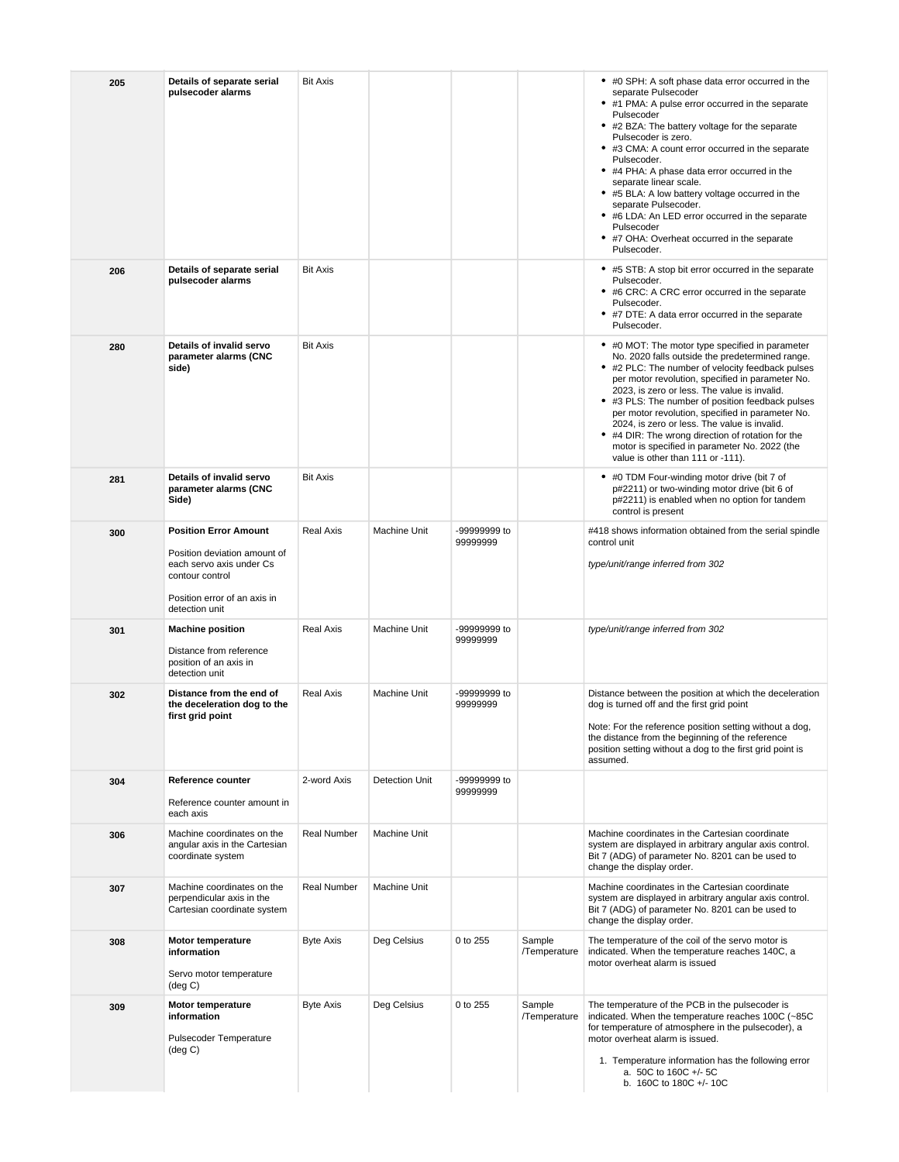| 205 | Details of separate serial<br>pulsecoder alarms                                                                                                               | <b>Bit Axis</b>  |                       |                          |                        | • #0 SPH: A soft phase data error occurred in the<br>separate Pulsecoder<br>• #1 PMA: A pulse error occurred in the separate<br>Pulsecoder<br>• #2 BZA: The battery voltage for the separate<br>Pulsecoder is zero.<br>• #3 CMA: A count error occurred in the separate<br>Pulsecoder.<br>• #4 PHA: A phase data error occurred in the<br>separate linear scale.<br>• #5 BLA: A low battery voltage occurred in the<br>separate Pulsecoder.<br>• #6 LDA: An LED error occurred in the separate<br>Pulsecoder<br>• #7 OHA: Overheat occurred in the separate<br>Pulsecoder. |
|-----|---------------------------------------------------------------------------------------------------------------------------------------------------------------|------------------|-----------------------|--------------------------|------------------------|----------------------------------------------------------------------------------------------------------------------------------------------------------------------------------------------------------------------------------------------------------------------------------------------------------------------------------------------------------------------------------------------------------------------------------------------------------------------------------------------------------------------------------------------------------------------------|
| 206 | Details of separate serial<br>pulsecoder alarms                                                                                                               | <b>Bit Axis</b>  |                       |                          |                        | • #5 STB: A stop bit error occurred in the separate<br>Pulsecoder.<br>• #6 CRC: A CRC error occurred in the separate<br>Pulsecoder.<br>• #7 DTE: A data error occurred in the separate<br>Pulsecoder.                                                                                                                                                                                                                                                                                                                                                                      |
| 280 | Details of invalid servo<br>parameter alarms (CNC<br>side)                                                                                                    | <b>Bit Axis</b>  |                       |                          |                        | • #0 MOT: The motor type specified in parameter<br>No. 2020 falls outside the predetermined range.<br>• #2 PLC: The number of velocity feedback pulses<br>per motor revolution, specified in parameter No.<br>2023, is zero or less. The value is invalid.<br>• #3 PLS: The number of position feedback pulses<br>per motor revolution, specified in parameter No.<br>2024, is zero or less. The value is invalid.<br>• #4 DIR: The wrong direction of rotation for the<br>motor is specified in parameter No. 2022 (the<br>value is other than 111 or -111).              |
| 281 | Details of invalid servo<br>parameter alarms (CNC<br>Side)                                                                                                    | <b>Bit Axis</b>  |                       |                          |                        | • #0 TDM Four-winding motor drive (bit 7 of<br>p#2211) or two-winding motor drive (bit 6 of<br>p#2211) is enabled when no option for tandem<br>control is present                                                                                                                                                                                                                                                                                                                                                                                                          |
| 300 | <b>Position Error Amount</b><br>Position deviation amount of<br>each servo axis under Cs<br>contour control<br>Position error of an axis in<br>detection unit | <b>Real Axis</b> | Machine Unit          | -99999999 to<br>99999999 |                        | #418 shows information obtained from the serial spindle<br>control unit<br>type/unit/range inferred from 302                                                                                                                                                                                                                                                                                                                                                                                                                                                               |
| 301 | <b>Machine position</b><br>Distance from reference<br>position of an axis in<br>detection unit                                                                | <b>Real Axis</b> | Machine Unit          | -99999999 to<br>99999999 |                        | type/unit/range inferred from 302                                                                                                                                                                                                                                                                                                                                                                                                                                                                                                                                          |
| 302 | Distance from the end of<br>the deceleration dog to the<br>first grid point                                                                                   | <b>Real Axis</b> | Machine Unit          | -99999999 to<br>99999999 |                        | Distance between the position at which the deceleration<br>dog is turned off and the first grid point<br>Note: For the reference position setting without a dog,<br>the distance from the beginning of the reference<br>position setting without a dog to the first grid point is<br>assumed.                                                                                                                                                                                                                                                                              |
| 304 | Reference counter<br>Reference counter amount in<br>each axis                                                                                                 | 2-word Axis      | <b>Detection Unit</b> | -99999999 to<br>99999999 |                        |                                                                                                                                                                                                                                                                                                                                                                                                                                                                                                                                                                            |
| 306 | Machine coordinates on the<br>angular axis in the Cartesian<br>coordinate system                                                                              | Real Number      | Machine Unit          |                          |                        | Machine coordinates in the Cartesian coordinate<br>system are displayed in arbitrary angular axis control.<br>Bit 7 (ADG) of parameter No. 8201 can be used to<br>change the display order.                                                                                                                                                                                                                                                                                                                                                                                |
| 307 | Machine coordinates on the<br>perpendicular axis in the<br>Cartesian coordinate system                                                                        | Real Number      | Machine Unit          |                          |                        | Machine coordinates in the Cartesian coordinate<br>system are displayed in arbitrary angular axis control.<br>Bit 7 (ADG) of parameter No. 8201 can be used to<br>change the display order.                                                                                                                                                                                                                                                                                                                                                                                |
| 308 | Motor temperature<br>information<br>Servo motor temperature<br>$(\text{deg } C)$                                                                              | <b>Byte Axis</b> | Deg Celsius           | 0 to 255                 | Sample<br>/Temperature | The temperature of the coil of the servo motor is<br>indicated. When the temperature reaches 140C, a<br>motor overheat alarm is issued                                                                                                                                                                                                                                                                                                                                                                                                                                     |
| 309 | Motor temperature<br>information<br><b>Pulsecoder Temperature</b><br>$(\text{deg } C)$                                                                        | <b>Byte Axis</b> | Deg Celsius           | 0 to 255                 | Sample<br>/Temperature | The temperature of the PCB in the pulsecoder is<br>indicated. When the temperature reaches 100C (~85C<br>for temperature of atmosphere in the pulsecoder), a<br>motor overheat alarm is issued.<br>1. Temperature information has the following error<br>a. 50C to 160C +/- 5C<br>b. 160C to 180C +/- 10C                                                                                                                                                                                                                                                                  |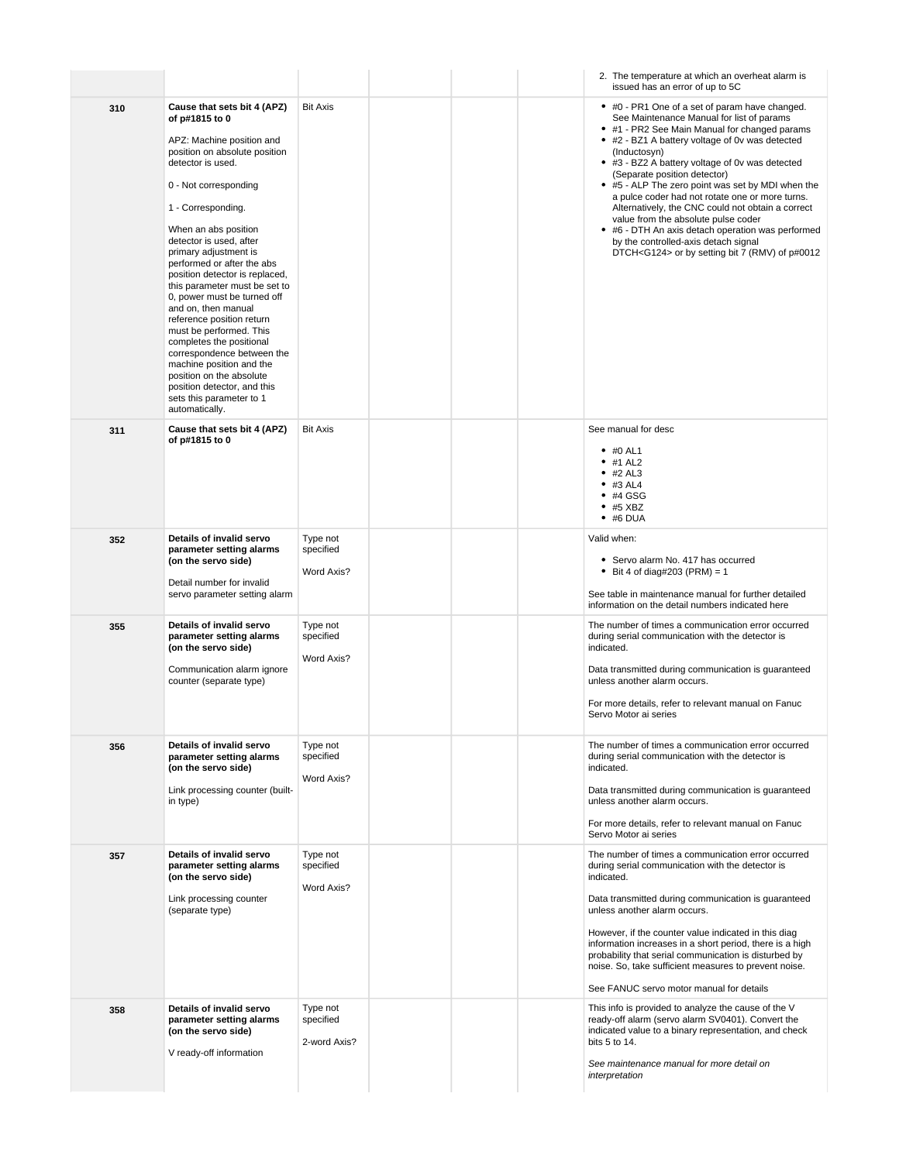|     |                                                                                                                                                                                                                                                                                                                                                                                                                                                                                                                                                                                                                                                                           |                                       |  | 2. The temperature at which an overheat alarm is<br>issued has an error of up to 5C                                                                                                                                                                                                                                                                                                                                                                                                                                                                                                                                                                           |
|-----|---------------------------------------------------------------------------------------------------------------------------------------------------------------------------------------------------------------------------------------------------------------------------------------------------------------------------------------------------------------------------------------------------------------------------------------------------------------------------------------------------------------------------------------------------------------------------------------------------------------------------------------------------------------------------|---------------------------------------|--|---------------------------------------------------------------------------------------------------------------------------------------------------------------------------------------------------------------------------------------------------------------------------------------------------------------------------------------------------------------------------------------------------------------------------------------------------------------------------------------------------------------------------------------------------------------------------------------------------------------------------------------------------------------|
| 310 | Cause that sets bit 4 (APZ)<br>of p#1815 to 0<br>APZ: Machine position and<br>position on absolute position<br>detector is used.<br>0 - Not corresponding<br>1 - Corresponding.<br>When an abs position<br>detector is used, after<br>primary adjustment is<br>performed or after the abs<br>position detector is replaced,<br>this parameter must be set to<br>0, power must be turned off<br>and on, then manual<br>reference position return<br>must be performed. This<br>completes the positional<br>correspondence between the<br>machine position and the<br>position on the absolute<br>position detector, and this<br>sets this parameter to 1<br>automatically. | <b>Bit Axis</b>                       |  | • #0 - PR1 One of a set of param have changed.<br>See Maintenance Manual for list of params<br>• #1 - PR2 See Main Manual for changed params<br>• #2 - BZ1 A battery voltage of 0v was detected<br>(Inductosyn)<br>• #3 - BZ2 A battery voltage of 0v was detected<br>(Separate position detector)<br>• #5 - ALP The zero point was set by MDI when the<br>a pulce coder had not rotate one or more turns.<br>Alternatively, the CNC could not obtain a correct<br>value from the absolute pulse coder<br>• #6 - DTH An axis detach operation was performed<br>by the controlled-axis detach signal<br>DTCH <g124> or by setting bit 7 (RMV) of p#0012</g124> |
| 311 | Cause that sets bit 4 (APZ)<br>of p#1815 to 0                                                                                                                                                                                                                                                                                                                                                                                                                                                                                                                                                                                                                             | <b>Bit Axis</b>                       |  | See manual for desc<br>$\bullet$ #0 AL1<br>$*$ #1 AL2<br>$•$ #2 AL3<br>$\bullet$ #3 AL4<br>$\bullet$ #4 GSG<br>$\bullet$ #5 XBZ<br>$•$ #6 DUA                                                                                                                                                                                                                                                                                                                                                                                                                                                                                                                 |
| 352 | Details of invalid servo<br>parameter setting alarms<br>(on the servo side)<br>Detail number for invalid<br>servo parameter setting alarm                                                                                                                                                                                                                                                                                                                                                                                                                                                                                                                                 | Type not<br>specified<br>Word Axis?   |  | Valid when:<br>• Servo alarm No. 417 has occurred<br>• Bit 4 of diag#203 (PRM) = 1<br>See table in maintenance manual for further detailed<br>information on the detail numbers indicated here                                                                                                                                                                                                                                                                                                                                                                                                                                                                |
| 355 | Details of invalid servo<br>parameter setting alarms<br>(on the servo side)<br>Communication alarm ignore<br>counter (separate type)                                                                                                                                                                                                                                                                                                                                                                                                                                                                                                                                      | Type not<br>specified<br>Word Axis?   |  | The number of times a communication error occurred<br>during serial communication with the detector is<br>indicated.<br>Data transmitted during communication is guaranteed<br>unless another alarm occurs.<br>For more details, refer to relevant manual on Fanuc<br>Servo Motor ai series                                                                                                                                                                                                                                                                                                                                                                   |
| 356 | Details of invalid servo<br>parameter setting alarms<br>(on the servo side)<br>Link processing counter (built-<br>in type)                                                                                                                                                                                                                                                                                                                                                                                                                                                                                                                                                | Type not<br>specified<br>Word Axis?   |  | The number of times a communication error occurred<br>during serial communication with the detector is<br>indicated.<br>Data transmitted during communication is guaranteed<br>unless another alarm occurs.<br>For more details, refer to relevant manual on Fanuc<br>Servo Motor ai series                                                                                                                                                                                                                                                                                                                                                                   |
| 357 | Details of invalid servo<br>parameter setting alarms<br>(on the servo side)<br>Link processing counter<br>(separate type)                                                                                                                                                                                                                                                                                                                                                                                                                                                                                                                                                 | Type not<br>specified<br>Word Axis?   |  | The number of times a communication error occurred<br>during serial communication with the detector is<br>indicated.<br>Data transmitted during communication is guaranteed<br>unless another alarm occurs.<br>However, if the counter value indicated in this diag<br>information increases in a short period, there is a high<br>probability that serial communication is disturbed by<br>noise. So, take sufficient measures to prevent noise.<br>See FANUC servo motor manual for details                                                                                                                                                                 |
| 358 | Details of invalid servo<br>parameter setting alarms<br>(on the servo side)<br>V ready-off information                                                                                                                                                                                                                                                                                                                                                                                                                                                                                                                                                                    | Type not<br>specified<br>2-word Axis? |  | This info is provided to analyze the cause of the V<br>ready-off alarm (servo alarm SV0401). Convert the<br>indicated value to a binary representation, and check<br>bits 5 to 14.<br>See maintenance manual for more detail on<br>interpretation                                                                                                                                                                                                                                                                                                                                                                                                             |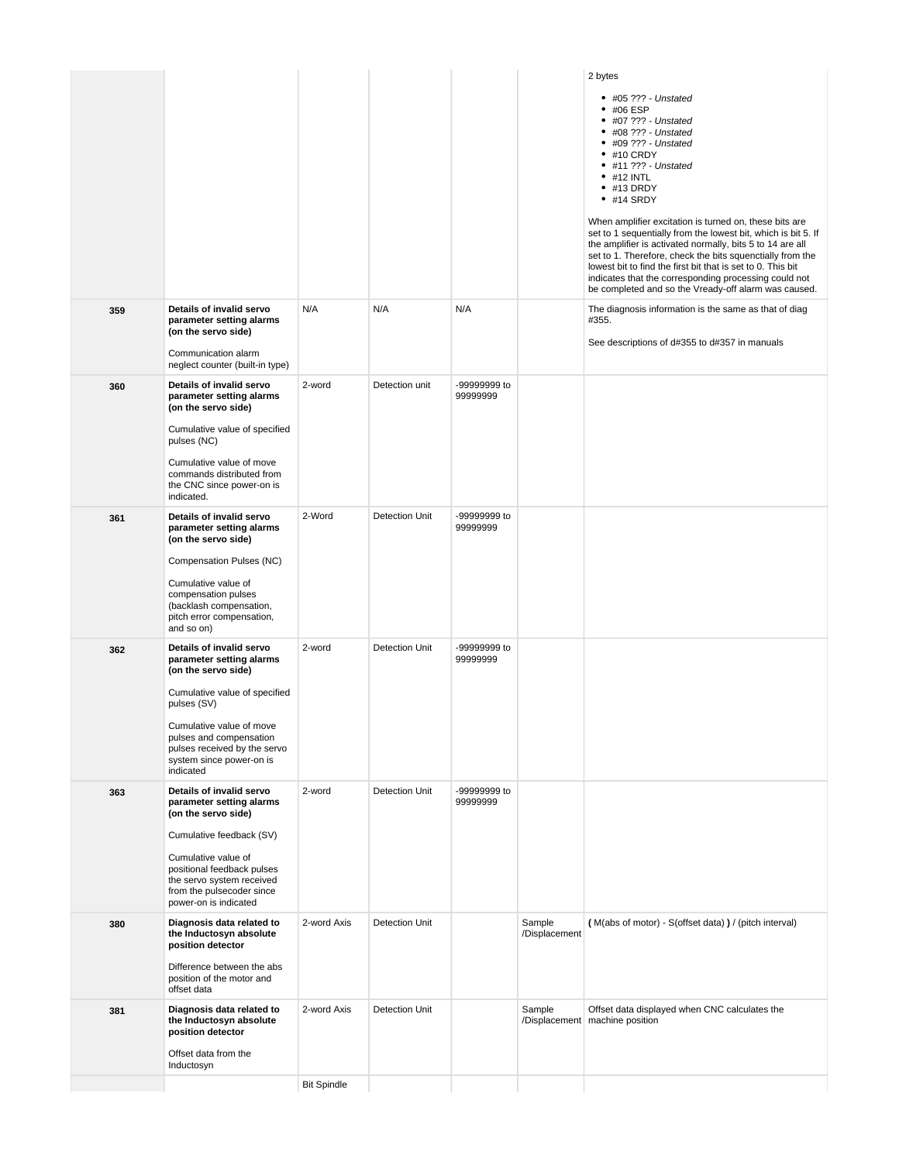|     |                                                                                                                                                                                                                                                             |                    |                |                          |                         | 2 bytes                                                                                                                                                                                                                                                                                                                                                                                                                                                                                                                                                                                                                                                      |
|-----|-------------------------------------------------------------------------------------------------------------------------------------------------------------------------------------------------------------------------------------------------------------|--------------------|----------------|--------------------------|-------------------------|--------------------------------------------------------------------------------------------------------------------------------------------------------------------------------------------------------------------------------------------------------------------------------------------------------------------------------------------------------------------------------------------------------------------------------------------------------------------------------------------------------------------------------------------------------------------------------------------------------------------------------------------------------------|
|     |                                                                                                                                                                                                                                                             |                    |                |                          |                         | $\bullet$ #05 ??? - Unstated<br>• #06 ESP<br>$*$ #07 ??? - Unstated<br>$•$ #08 ??? - Unstated<br>$*$ #09 ??? - Unstated<br>$•$ #10 CRDY<br>$* 411 ?$ ? - Unstated<br>$\bullet$ #12 INTL<br>$•$ #13 DRDY<br>$•$ #14 SRDY<br>When amplifier excitation is turned on, these bits are<br>set to 1 sequentially from the lowest bit, which is bit 5. If<br>the amplifier is activated normally, bits 5 to 14 are all<br>set to 1. Therefore, check the bits squenctially from the<br>lowest bit to find the first bit that is set to 0. This bit<br>indicates that the corresponding processing could not<br>be completed and so the Vready-off alarm was caused. |
| 359 | Details of invalid servo<br>parameter setting alarms<br>(on the servo side)<br>Communication alarm<br>neglect counter (built-in type)                                                                                                                       | N/A                | N/A            | N/A                      |                         | The diagnosis information is the same as that of diag<br>#355.<br>See descriptions of d#355 to d#357 in manuals                                                                                                                                                                                                                                                                                                                                                                                                                                                                                                                                              |
| 360 | Details of invalid servo<br>parameter setting alarms<br>(on the servo side)<br>Cumulative value of specified<br>pulses (NC)<br>Cumulative value of move<br>commands distributed from<br>the CNC since power-on is<br>indicated.                             | 2-word             | Detection unit | -99999999 to<br>99999999 |                         |                                                                                                                                                                                                                                                                                                                                                                                                                                                                                                                                                                                                                                                              |
| 361 | Details of invalid servo<br>parameter setting alarms<br>(on the servo side)<br>Compensation Pulses (NC)<br>Cumulative value of<br>compensation pulses<br>(backlash compensation,<br>pitch error compensation,<br>and so on)                                 | 2-Word             | Detection Unit | -99999999 to<br>99999999 |                         |                                                                                                                                                                                                                                                                                                                                                                                                                                                                                                                                                                                                                                                              |
| 362 | Details of invalid servo<br>parameter setting alarms<br>(on the servo side)<br>Cumulative value of specified<br>pulses (SV)<br>Cumulative value of move<br>pulses and compensation<br>pulses received by the servo<br>system since power-on is<br>indicated | 2-word             | Detection Unit | -99999999 to<br>99999999 |                         |                                                                                                                                                                                                                                                                                                                                                                                                                                                                                                                                                                                                                                                              |
| 363 | Details of invalid servo<br>parameter setting alarms<br>(on the servo side)<br>Cumulative feedback (SV)<br>Cumulative value of<br>positional feedback pulses<br>the servo system received<br>from the pulsecoder since<br>power-on is indicated             | 2-word             | Detection Unit | -99999999 to<br>99999999 |                         |                                                                                                                                                                                                                                                                                                                                                                                                                                                                                                                                                                                                                                                              |
| 380 | Diagnosis data related to<br>the Inductosyn absolute<br>position detector<br>Difference between the abs<br>position of the motor and<br>offset data                                                                                                         | 2-word Axis        | Detection Unit |                          | Sample<br>/Displacement | (M(abs of motor) - S(offset data)) / (pitch interval)                                                                                                                                                                                                                                                                                                                                                                                                                                                                                                                                                                                                        |
| 381 | Diagnosis data related to<br>the Inductosyn absolute<br>position detector<br>Offset data from the<br>Inductosyn                                                                                                                                             | 2-word Axis        | Detection Unit |                          | Sample                  | Offset data displayed when CNC calculates the<br>/Displacement   machine position                                                                                                                                                                                                                                                                                                                                                                                                                                                                                                                                                                            |
|     |                                                                                                                                                                                                                                                             | <b>Bit Spindle</b> |                |                          |                         |                                                                                                                                                                                                                                                                                                                                                                                                                                                                                                                                                                                                                                                              |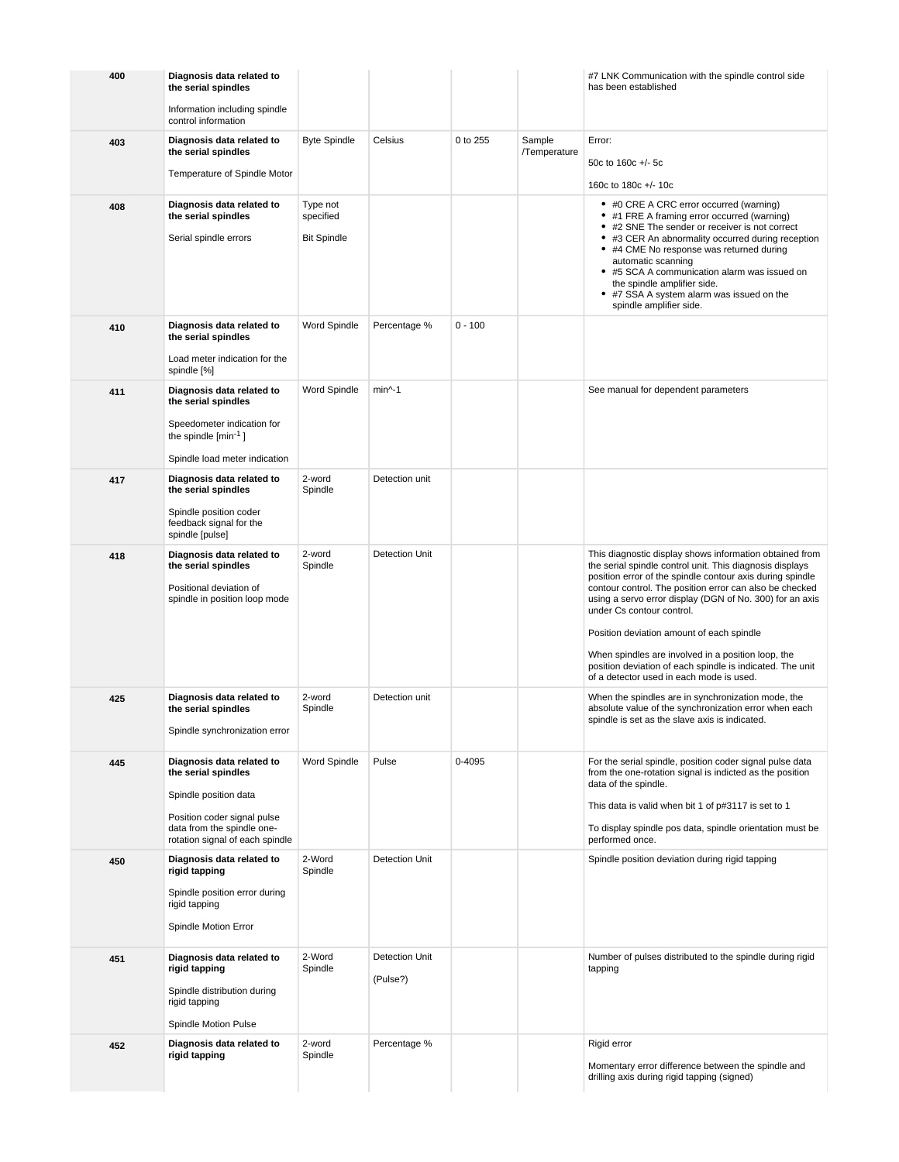| 400 | Diagnosis data related to<br>the serial spindles<br>Information including spindle<br>control information |                       |                                   |           |              | #7 LNK Communication with the spindle control side<br>has been established                                                                                                                                                                                                 |
|-----|----------------------------------------------------------------------------------------------------------|-----------------------|-----------------------------------|-----------|--------------|----------------------------------------------------------------------------------------------------------------------------------------------------------------------------------------------------------------------------------------------------------------------------|
| 403 | Diagnosis data related to                                                                                | <b>Byte Spindle</b>   | Celsius                           | 0 to 255  | Sample       | Error:                                                                                                                                                                                                                                                                     |
|     | the serial spindles                                                                                      |                       |                                   |           | /Temperature | 50c to 160c +/- 5c                                                                                                                                                                                                                                                         |
|     | Temperature of Spindle Motor                                                                             |                       |                                   |           |              | 160c to 180c +/- 10c                                                                                                                                                                                                                                                       |
| 408 | Diagnosis data related to<br>the serial spindles                                                         | Type not<br>specified |                                   |           |              | • #0 CRE A CRC error occurred (warning)<br>• #1 FRE A framing error occurred (warning)<br>• #2 SNE The sender or receiver is not correct                                                                                                                                   |
|     | Serial spindle errors                                                                                    | <b>Bit Spindle</b>    |                                   |           |              | • #3 CER An abnormality occurred during reception<br>• #4 CME No response was returned during<br>automatic scanning<br>• #5 SCA A communication alarm was issued on<br>the spindle amplifier side.<br>• #7 SSA A system alarm was issued on the<br>spindle amplifier side. |
| 410 | Diagnosis data related to<br>the serial spindles                                                         | Word Spindle          | Percentage %                      | $0 - 100$ |              |                                                                                                                                                                                                                                                                            |
|     | Load meter indication for the<br>spindle [%]                                                             |                       |                                   |           |              |                                                                                                                                                                                                                                                                            |
| 411 | Diagnosis data related to<br>the serial spindles                                                         | Word Spindle          | $min^{-1}$                        |           |              | See manual for dependent parameters                                                                                                                                                                                                                                        |
|     | Speedometer indication for<br>the spindle ${\rm [min^{-1}]}$                                             |                       |                                   |           |              |                                                                                                                                                                                                                                                                            |
|     | Spindle load meter indication                                                                            |                       |                                   |           |              |                                                                                                                                                                                                                                                                            |
| 417 | Diagnosis data related to<br>the serial spindles                                                         | 2-word<br>Spindle     | Detection unit                    |           |              |                                                                                                                                                                                                                                                                            |
|     | Spindle position coder<br>feedback signal for the<br>spindle [pulse]                                     |                       |                                   |           |              |                                                                                                                                                                                                                                                                            |
| 418 | Diagnosis data related to<br>the serial spindles                                                         | 2-word<br>Spindle     | <b>Detection Unit</b>             |           |              | This diagnostic display shows information obtained from<br>the serial spindle control unit. This diagnosis displays                                                                                                                                                        |
|     | Positional deviation of<br>spindle in position loop mode                                                 |                       |                                   |           |              | position error of the spindle contour axis during spindle<br>contour control. The position error can also be checked<br>using a servo error display (DGN of No. 300) for an axis<br>under Cs contour control.<br>Position deviation amount of each spindle                 |
|     |                                                                                                          |                       |                                   |           |              | When spindles are involved in a position loop, the<br>position deviation of each spindle is indicated. The unit<br>of a detector used in each mode is used.                                                                                                                |
| 425 | Diagnosis data related to<br>the serial spindles<br>Spindle synchronization error                        | 2-word<br>Spindle     | Detection unit                    |           |              | When the spindles are in synchronization mode, the<br>absolute value of the synchronization error when each<br>spindle is set as the slave axis is indicated.                                                                                                              |
| 445 | Diagnosis data related to<br>the serial spindles                                                         | Word Spindle          | Pulse                             | 0-4095    |              | For the serial spindle, position coder signal pulse data<br>from the one-rotation signal is indicted as the position                                                                                                                                                       |
|     | Spindle position data                                                                                    |                       |                                   |           |              | data of the spindle.<br>This data is valid when bit 1 of p#3117 is set to 1                                                                                                                                                                                                |
|     | Position coder signal pulse<br>data from the spindle one-<br>rotation signal of each spindle             |                       |                                   |           |              | To display spindle pos data, spindle orientation must be<br>performed once.                                                                                                                                                                                                |
| 450 | Diagnosis data related to<br>rigid tapping                                                               | 2-Word<br>Spindle     | <b>Detection Unit</b>             |           |              | Spindle position deviation during rigid tapping                                                                                                                                                                                                                            |
|     | Spindle position error during<br>rigid tapping                                                           |                       |                                   |           |              |                                                                                                                                                                                                                                                                            |
|     | Spindle Motion Error                                                                                     |                       |                                   |           |              |                                                                                                                                                                                                                                                                            |
| 451 | Diagnosis data related to<br>rigid tapping                                                               | 2-Word<br>Spindle     | <b>Detection Unit</b><br>(Pulse?) |           |              | Number of pulses distributed to the spindle during rigid<br>tapping                                                                                                                                                                                                        |
|     | Spindle distribution during<br>rigid tapping<br>Spindle Motion Pulse                                     |                       |                                   |           |              |                                                                                                                                                                                                                                                                            |
| 452 | Diagnosis data related to                                                                                | 2-word                | Percentage %                      |           |              | Rigid error                                                                                                                                                                                                                                                                |
|     | rigid tapping                                                                                            | Spindle               |                                   |           |              | Momentary error difference between the spindle and<br>drilling axis during rigid tapping (signed)                                                                                                                                                                          |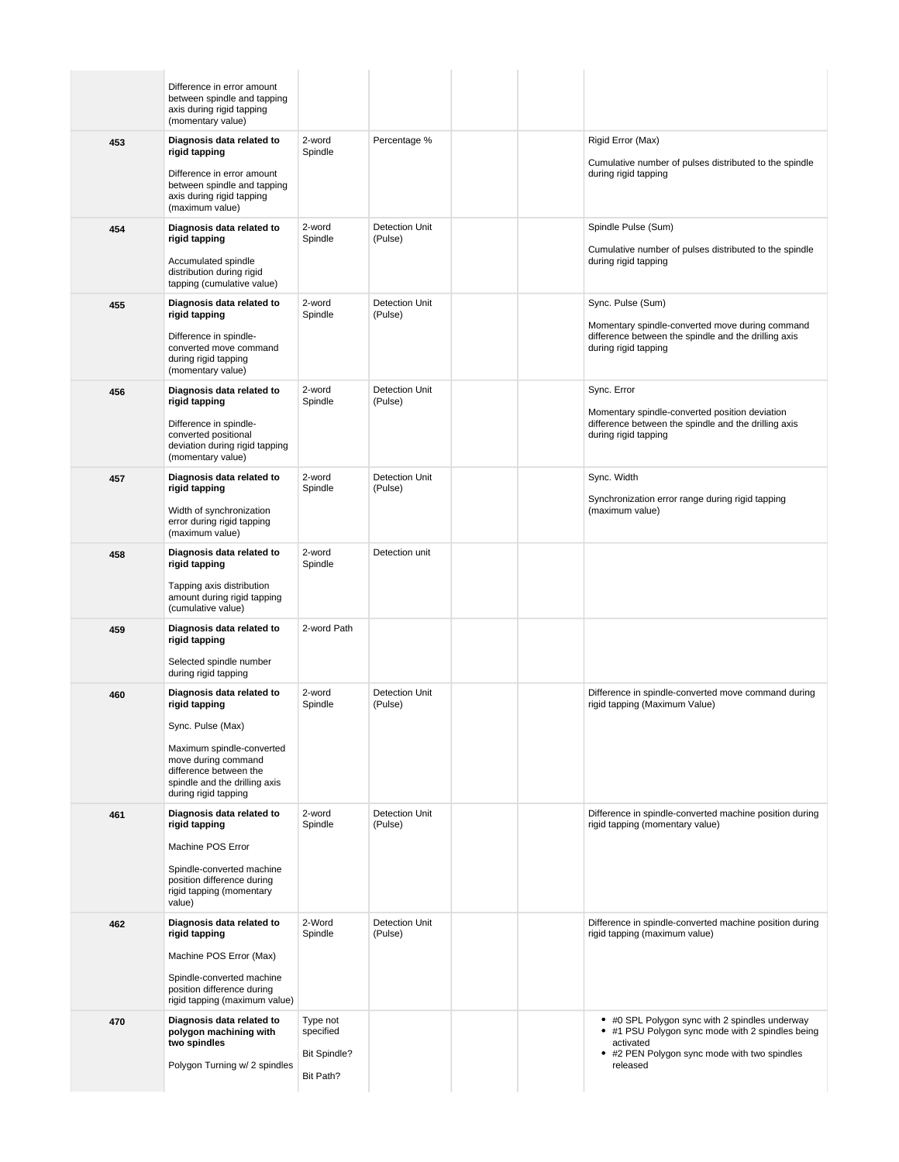|     | Difference in error amount<br>between spindle and tapping<br>axis during rigid tapping<br>(momentary value)                                                                                            |                                                           |                           |  |                                                                                                                                                                             |
|-----|--------------------------------------------------------------------------------------------------------------------------------------------------------------------------------------------------------|-----------------------------------------------------------|---------------------------|--|-----------------------------------------------------------------------------------------------------------------------------------------------------------------------------|
| 453 | Diagnosis data related to<br>rigid tapping<br>Difference in error amount<br>between spindle and tapping<br>axis during rigid tapping<br>(maximum value)                                                | 2-word<br>Spindle                                         | Percentage %              |  | Rigid Error (Max)<br>Cumulative number of pulses distributed to the spindle<br>during rigid tapping                                                                         |
| 454 | Diagnosis data related to<br>rigid tapping<br>Accumulated spindle<br>distribution during rigid<br>tapping (cumulative value)                                                                           | 2-word<br>Spindle                                         | Detection Unit<br>(Pulse) |  | Spindle Pulse (Sum)<br>Cumulative number of pulses distributed to the spindle<br>during rigid tapping                                                                       |
| 455 | Diagnosis data related to<br>rigid tapping<br>Difference in spindle-<br>converted move command<br>during rigid tapping<br>(momentary value)                                                            | 2-word<br>Spindle                                         | Detection Unit<br>(Pulse) |  | Sync. Pulse (Sum)<br>Momentary spindle-converted move during command<br>difference between the spindle and the drilling axis<br>during rigid tapping                        |
| 456 | Diagnosis data related to<br>rigid tapping<br>Difference in spindle-<br>converted positional<br>deviation during rigid tapping<br>(momentary value)                                                    | 2-word<br>Spindle                                         | Detection Unit<br>(Pulse) |  | Sync. Error<br>Momentary spindle-converted position deviation<br>difference between the spindle and the drilling axis<br>during rigid tapping                               |
| 457 | Diagnosis data related to<br>rigid tapping<br>Width of synchronization<br>error during rigid tapping<br>(maximum value)                                                                                | 2-word<br>Spindle                                         | Detection Unit<br>(Pulse) |  | Sync. Width<br>Synchronization error range during rigid tapping<br>(maximum value)                                                                                          |
| 458 | Diagnosis data related to<br>rigid tapping<br>Tapping axis distribution<br>amount during rigid tapping<br>(cumulative value)                                                                           | 2-word<br>Spindle                                         | Detection unit            |  |                                                                                                                                                                             |
| 459 | Diagnosis data related to<br>rigid tapping<br>Selected spindle number<br>during rigid tapping                                                                                                          | 2-word Path                                               |                           |  |                                                                                                                                                                             |
| 460 | Diagnosis data related to<br>rigid tapping<br>Sync. Pulse (Max)<br>Maximum spindle-converted<br>move during command<br>difference between the<br>spindle and the drilling axis<br>during rigid tapping | 2-word<br>Spindle                                         | Detection Unit<br>(Pulse) |  | Difference in spindle-converted move command during<br>rigid tapping (Maximum Value)                                                                                        |
| 461 | Diagnosis data related to<br>rigid tapping<br>Machine POS Error<br>Spindle-converted machine<br>position difference during<br>rigid tapping (momentary<br>value)                                       | 2-word<br>Spindle                                         | Detection Unit<br>(Pulse) |  | Difference in spindle-converted machine position during<br>rigid tapping (momentary value)                                                                                  |
| 462 | Diagnosis data related to<br>rigid tapping<br>Machine POS Error (Max)<br>Spindle-converted machine<br>position difference during<br>rigid tapping (maximum value)                                      | 2-Word<br>Spindle                                         | Detection Unit<br>(Pulse) |  | Difference in spindle-converted machine position during<br>rigid tapping (maximum value)                                                                                    |
| 470 | Diagnosis data related to<br>polygon machining with<br>two spindles<br>Polygon Turning w/ 2 spindles                                                                                                   | Type not<br>specified<br><b>Bit Spindle?</b><br>Bit Path? |                           |  | • #0 SPL Polygon sync with 2 spindles underway<br>• #1 PSU Polygon sync mode with 2 spindles being<br>activated<br>• #2 PEN Polygon sync mode with two spindles<br>released |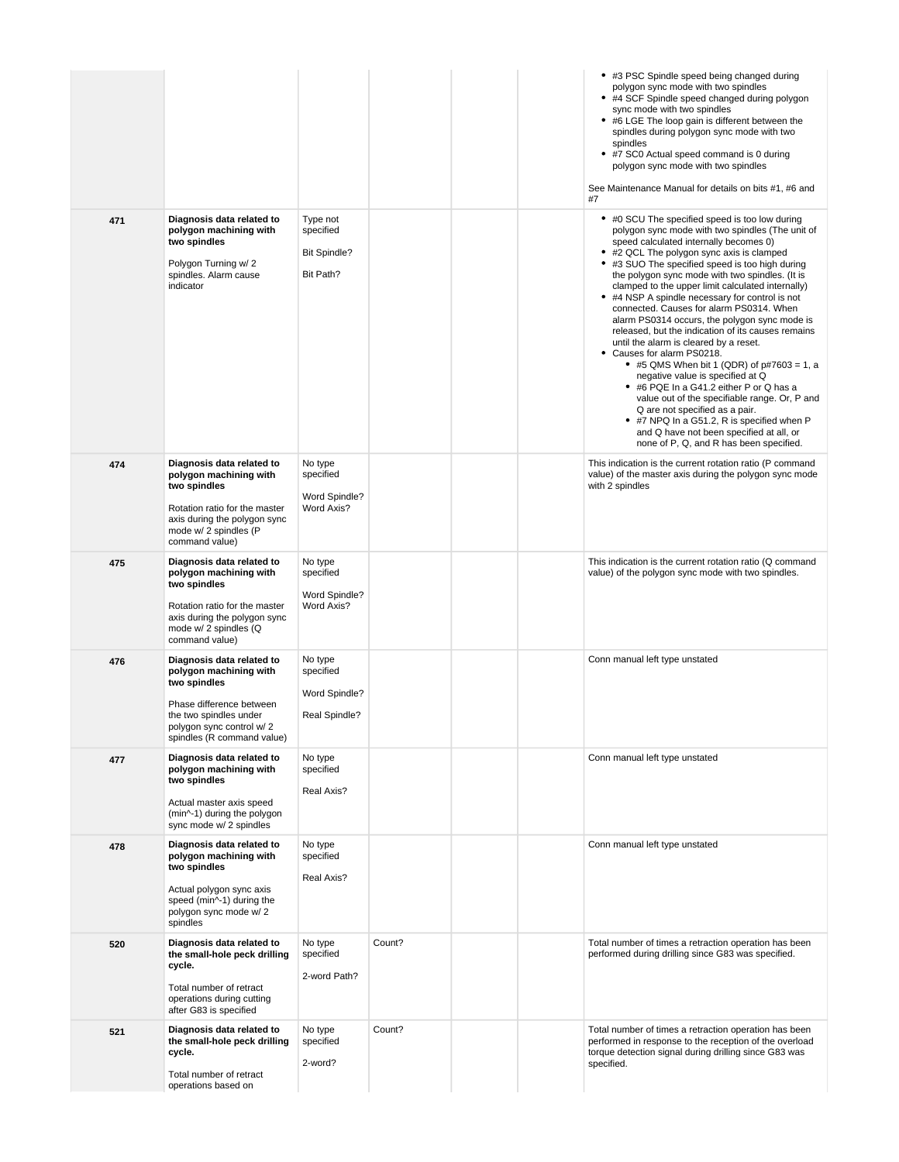|     |                                                                                                                                                                                     |                                                           |        |  | • #3 PSC Spindle speed being changed during<br>polygon sync mode with two spindles<br>• #4 SCF Spindle speed changed during polygon<br>sync mode with two spindles<br>• #6 LGE The loop gain is different between the<br>spindles during polygon sync mode with two<br>spindles<br>• #7 SC0 Actual speed command is 0 during<br>polygon sync mode with two spindles<br>See Maintenance Manual for details on bits #1, #6 and<br>#7                                                                                                                                                                                                                                                                                                                                                                                                                                                                                                                                                         |
|-----|-------------------------------------------------------------------------------------------------------------------------------------------------------------------------------------|-----------------------------------------------------------|--------|--|--------------------------------------------------------------------------------------------------------------------------------------------------------------------------------------------------------------------------------------------------------------------------------------------------------------------------------------------------------------------------------------------------------------------------------------------------------------------------------------------------------------------------------------------------------------------------------------------------------------------------------------------------------------------------------------------------------------------------------------------------------------------------------------------------------------------------------------------------------------------------------------------------------------------------------------------------------------------------------------------|
| 471 | Diagnosis data related to<br>polygon machining with<br>two spindles<br>Polygon Turning w/ 2<br>spindles. Alarm cause<br>indicator                                                   | Type not<br>specified<br><b>Bit Spindle?</b><br>Bit Path? |        |  | • #0 SCU The specified speed is too low during<br>polygon sync mode with two spindles (The unit of<br>speed calculated internally becomes 0)<br>• #2 QCL The polygon sync axis is clamped<br>• #3 SUO The specified speed is too high during<br>the polygon sync mode with two spindles. (It is<br>clamped to the upper limit calculated internally)<br>• #4 NSP A spindle necessary for control is not<br>connected. Causes for alarm PS0314. When<br>alarm PS0314 occurs, the polygon sync mode is<br>released, but the indication of its causes remains<br>until the alarm is cleared by a reset.<br>• Causes for alarm PS0218.<br>• #5 QMS When bit 1 (QDR) of $p#7603 = 1$ , a<br>negative value is specified at Q<br>• #6 PQE In a G41.2 either P or Q has a<br>value out of the specifiable range. Or, P and<br>Q are not specified as a pair.<br>• #7 NPQ In a G51.2, R is specified when P<br>and Q have not been specified at all, or<br>none of P, Q, and R has been specified. |
| 474 | Diagnosis data related to<br>polygon machining with<br>two spindles<br>Rotation ratio for the master<br>axis during the polygon sync<br>mode w/ 2 spindles (P<br>command value)     | No type<br>specified<br>Word Spindle?<br>Word Axis?       |        |  | This indication is the current rotation ratio (P command<br>value) of the master axis during the polygon sync mode<br>with 2 spindles                                                                                                                                                                                                                                                                                                                                                                                                                                                                                                                                                                                                                                                                                                                                                                                                                                                      |
| 475 | Diagnosis data related to<br>polygon machining with<br>two spindles<br>Rotation ratio for the master<br>axis during the polygon sync<br>mode w/ 2 spindles (Q<br>command value)     | No type<br>specified<br>Word Spindle?<br>Word Axis?       |        |  | This indication is the current rotation ratio (Q command<br>value) of the polygon sync mode with two spindles.                                                                                                                                                                                                                                                                                                                                                                                                                                                                                                                                                                                                                                                                                                                                                                                                                                                                             |
| 476 | Diagnosis data related to<br>polygon machining with<br>two spindles<br>Phase difference between<br>the two spindles under<br>polygon sync control w/2<br>spindles (R command value) | No type<br>specified<br>Word Spindle?<br>Real Spindle?    |        |  | Conn manual left type unstated                                                                                                                                                                                                                                                                                                                                                                                                                                                                                                                                                                                                                                                                                                                                                                                                                                                                                                                                                             |
| 477 | Diagnosis data related to<br>polygon machining with<br>two spindles<br>Actual master axis speed<br>(min^-1) during the polygon<br>sync mode w/ 2 spindles                           | No type<br>specified<br>Real Axis?                        |        |  | Conn manual left type unstated                                                                                                                                                                                                                                                                                                                                                                                                                                                                                                                                                                                                                                                                                                                                                                                                                                                                                                                                                             |
| 478 | Diagnosis data related to<br>polygon machining with<br>two spindles<br>Actual polygon sync axis<br>speed (min^-1) during the<br>polygon sync mode w/2<br>spindles                   | No type<br>specified<br>Real Axis?                        |        |  | Conn manual left type unstated                                                                                                                                                                                                                                                                                                                                                                                                                                                                                                                                                                                                                                                                                                                                                                                                                                                                                                                                                             |
| 520 | Diagnosis data related to<br>the small-hole peck drilling<br>cycle.<br>Total number of retract<br>operations during cutting<br>after G83 is specified                               | No type<br>specified<br>2-word Path?                      | Count? |  | Total number of times a retraction operation has been<br>performed during drilling since G83 was specified.                                                                                                                                                                                                                                                                                                                                                                                                                                                                                                                                                                                                                                                                                                                                                                                                                                                                                |
| 521 | Diagnosis data related to<br>the small-hole peck drilling<br>cycle.<br>Total number of retract<br>operations based on                                                               | No type<br>specified<br>2-word?                           | Count? |  | Total number of times a retraction operation has been<br>performed in response to the reception of the overload<br>torque detection signal during drilling since G83 was<br>specified.                                                                                                                                                                                                                                                                                                                                                                                                                                                                                                                                                                                                                                                                                                                                                                                                     |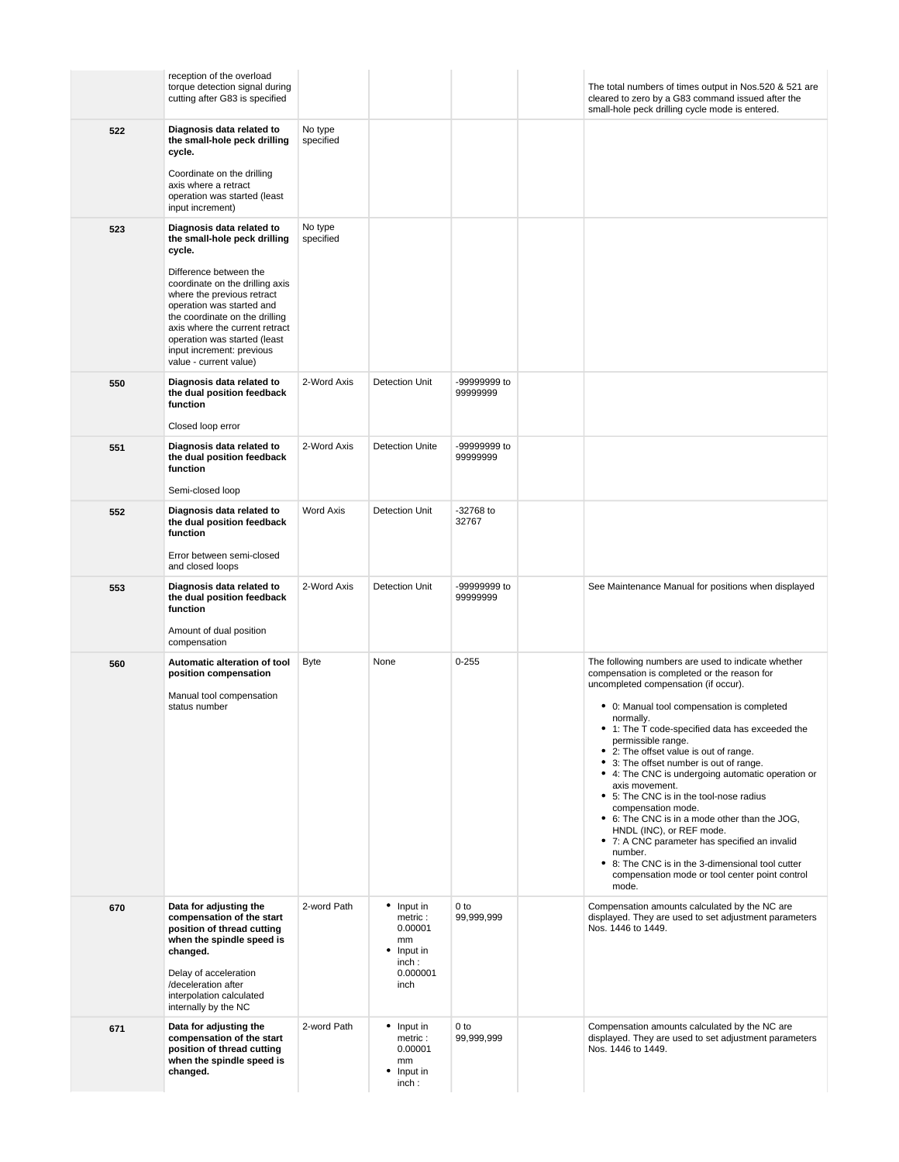|     | reception of the overload<br>torque detection signal during<br>cutting after G83 is specified                                                                                                                                                                                                                                                          |                      |                                                                                   |                          | The total numbers of times output in Nos.520 & 521 are<br>cleared to zero by a G83 command issued after the<br>small-hole peck drilling cycle mode is entered.                                                                                                                                                                                                                                                                                                                                                                                                                                                                                                                                                                                                   |
|-----|--------------------------------------------------------------------------------------------------------------------------------------------------------------------------------------------------------------------------------------------------------------------------------------------------------------------------------------------------------|----------------------|-----------------------------------------------------------------------------------|--------------------------|------------------------------------------------------------------------------------------------------------------------------------------------------------------------------------------------------------------------------------------------------------------------------------------------------------------------------------------------------------------------------------------------------------------------------------------------------------------------------------------------------------------------------------------------------------------------------------------------------------------------------------------------------------------------------------------------------------------------------------------------------------------|
| 522 | Diagnosis data related to<br>the small-hole peck drilling<br>cycle.<br>Coordinate on the drilling<br>axis where a retract<br>operation was started (least<br>input increment)                                                                                                                                                                          | No type<br>specified |                                                                                   |                          |                                                                                                                                                                                                                                                                                                                                                                                                                                                                                                                                                                                                                                                                                                                                                                  |
| 523 | Diagnosis data related to<br>the small-hole peck drilling<br>cycle.<br>Difference between the<br>coordinate on the drilling axis<br>where the previous retract<br>operation was started and<br>the coordinate on the drilling<br>axis where the current retract<br>operation was started (least<br>input increment: previous<br>value - current value) | No type<br>specified |                                                                                   |                          |                                                                                                                                                                                                                                                                                                                                                                                                                                                                                                                                                                                                                                                                                                                                                                  |
| 550 | Diagnosis data related to<br>the dual position feedback<br>function<br>Closed loop error                                                                                                                                                                                                                                                               | 2-Word Axis          | <b>Detection Unit</b>                                                             | -99999999 to<br>99999999 |                                                                                                                                                                                                                                                                                                                                                                                                                                                                                                                                                                                                                                                                                                                                                                  |
| 551 | Diagnosis data related to<br>the dual position feedback<br>function<br>Semi-closed loop                                                                                                                                                                                                                                                                | 2-Word Axis          | <b>Detection Unite</b>                                                            | -99999999 to<br>99999999 |                                                                                                                                                                                                                                                                                                                                                                                                                                                                                                                                                                                                                                                                                                                                                                  |
| 552 | Diagnosis data related to<br>the dual position feedback<br>function<br>Error between semi-closed<br>and closed loops                                                                                                                                                                                                                                   | <b>Word Axis</b>     | Detection Unit                                                                    | $-32768$ to<br>32767     |                                                                                                                                                                                                                                                                                                                                                                                                                                                                                                                                                                                                                                                                                                                                                                  |
| 553 | Diagnosis data related to<br>the dual position feedback<br>function<br>Amount of dual position<br>compensation                                                                                                                                                                                                                                         | 2-Word Axis          | Detection Unit                                                                    | -99999999 to<br>99999999 | See Maintenance Manual for positions when displayed                                                                                                                                                                                                                                                                                                                                                                                                                                                                                                                                                                                                                                                                                                              |
| 560 | Automatic alteration of tool<br>position compensation<br>Manual tool compensation<br>status number                                                                                                                                                                                                                                                     | <b>Byte</b>          | None                                                                              | $0 - 255$                | The following numbers are used to indicate whether<br>compensation is completed or the reason for<br>uncompleted compensation (if occur).<br>• 0: Manual tool compensation is completed<br>normally.<br>1: The T code-specified data has exceeded the<br>permissible range.<br>• 2: The offset value is out of range.<br>• 3: The offset number is out of range.<br>• 4: The CNC is undergoing automatic operation or<br>axis movement.<br>• 5: The CNC is in the tool-nose radius<br>compensation mode.<br>• 6: The CNC is in a mode other than the JOG,<br>HNDL (INC), or REF mode.<br>• 7: A CNC parameter has specified an invalid<br>number.<br>• 8: The CNC is in the 3-dimensional tool cutter<br>compensation mode or tool center point control<br>mode. |
| 670 | Data for adjusting the<br>compensation of the start<br>position of thread cutting<br>when the spindle speed is<br>changed.<br>Delay of acceleration<br>/deceleration after<br>interpolation calculated<br>internally by the NC                                                                                                                         | 2-word Path          | • Input in<br>metric:<br>0.00001<br>mm<br>• Input in<br>inch:<br>0.000001<br>inch | 0 to<br>99,999,999       | Compensation amounts calculated by the NC are<br>displayed. They are used to set adjustment parameters<br>Nos. 1446 to 1449.                                                                                                                                                                                                                                                                                                                                                                                                                                                                                                                                                                                                                                     |
| 671 | Data for adjusting the<br>compensation of the start<br>position of thread cutting<br>when the spindle speed is<br>changed.                                                                                                                                                                                                                             | 2-word Path          | • Input in<br>metric:<br>0.00001<br>mm<br>• Input in<br>inch:                     | 0 to<br>99,999,999       | Compensation amounts calculated by the NC are<br>displayed. They are used to set adjustment parameters<br>Nos. 1446 to 1449.                                                                                                                                                                                                                                                                                                                                                                                                                                                                                                                                                                                                                                     |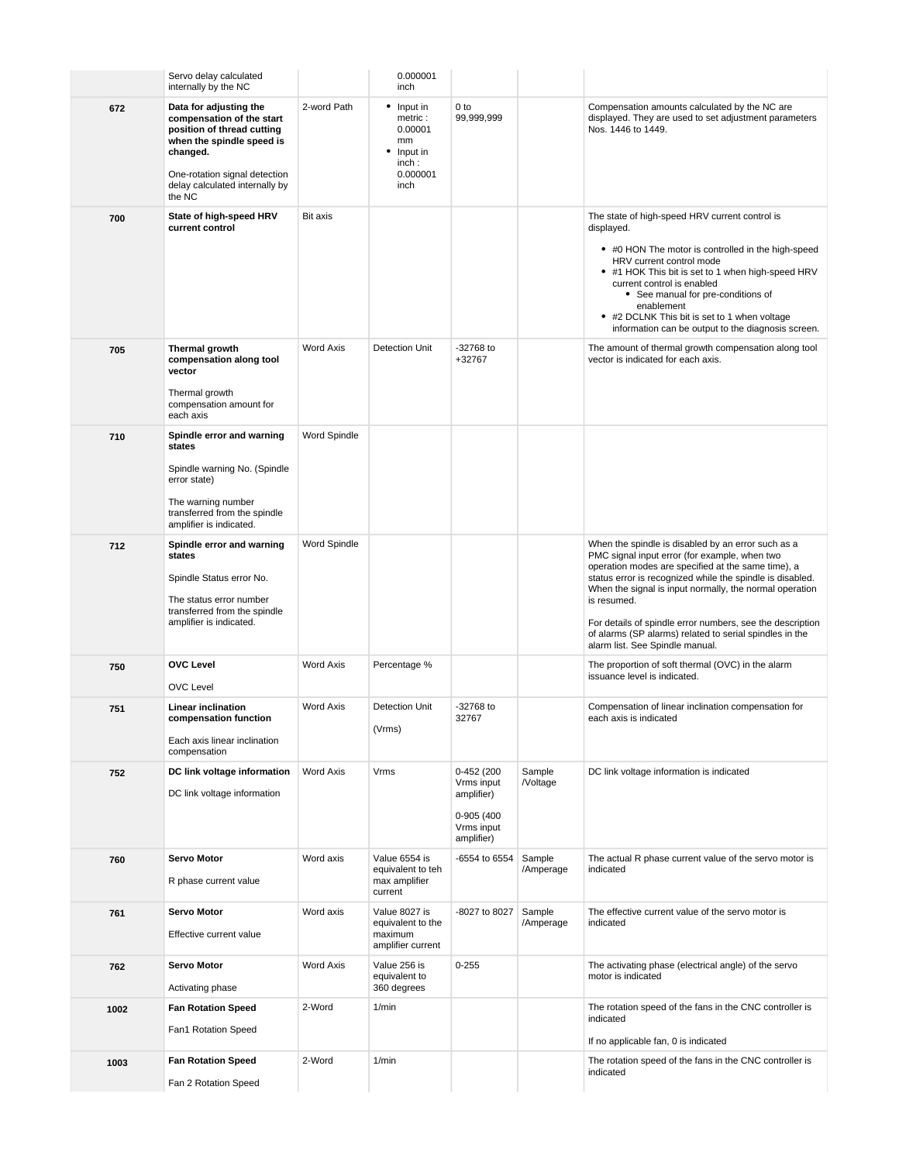|      | Servo delay calculated<br>internally by the NC                                                                                                                                                          |                  | 0.000001<br>inch                                                                  |                                                                                  |                     |                                                                                                                                                                                                                                                                                                                                                                                                                                                             |
|------|---------------------------------------------------------------------------------------------------------------------------------------------------------------------------------------------------------|------------------|-----------------------------------------------------------------------------------|----------------------------------------------------------------------------------|---------------------|-------------------------------------------------------------------------------------------------------------------------------------------------------------------------------------------------------------------------------------------------------------------------------------------------------------------------------------------------------------------------------------------------------------------------------------------------------------|
| 672  | Data for adjusting the<br>compensation of the start<br>position of thread cutting<br>when the spindle speed is<br>changed.<br>One-rotation signal detection<br>delay calculated internally by<br>the NC | 2-word Path      | • Input in<br>metric:<br>0.00001<br>mm<br>• Input in<br>inch:<br>0.000001<br>inch | 0 to<br>99,999,999                                                               |                     | Compensation amounts calculated by the NC are<br>displayed. They are used to set adjustment parameters<br>Nos. 1446 to 1449.                                                                                                                                                                                                                                                                                                                                |
| 700  | State of high-speed HRV<br>current control                                                                                                                                                              | Bit axis         |                                                                                   |                                                                                  |                     | The state of high-speed HRV current control is<br>displayed.<br>• #0 HON The motor is controlled in the high-speed<br>HRV current control mode<br>• #1 HOK This bit is set to 1 when high-speed HRV<br>current control is enabled<br>• See manual for pre-conditions of<br>enablement<br>• #2 DCLNK This bit is set to 1 when voltage<br>information can be output to the diagnosis screen.                                                                 |
| 705  | <b>Thermal growth</b><br>compensation along tool<br>vector<br>Thermal growth<br>compensation amount for<br>each axis                                                                                    | <b>Word Axis</b> | <b>Detection Unit</b>                                                             | $-32768$ to<br>+32767                                                            |                     | The amount of thermal growth compensation along tool<br>vector is indicated for each axis.                                                                                                                                                                                                                                                                                                                                                                  |
| 710  | Spindle error and warning<br>states<br>Spindle warning No. (Spindle<br>error state)<br>The warning number<br>transferred from the spindle<br>amplifier is indicated.                                    | Word Spindle     |                                                                                   |                                                                                  |                     |                                                                                                                                                                                                                                                                                                                                                                                                                                                             |
| 712  | Spindle error and warning<br>states<br>Spindle Status error No.<br>The status error number<br>transferred from the spindle<br>amplifier is indicated.                                                   | Word Spindle     |                                                                                   |                                                                                  |                     | When the spindle is disabled by an error such as a<br>PMC signal input error (for example, when two<br>operation modes are specified at the same time), a<br>status error is recognized while the spindle is disabled.<br>When the signal is input normally, the normal operation<br>is resumed.<br>For details of spindle error numbers, see the description<br>of alarms (SP alarms) related to serial spindles in the<br>alarm list. See Spindle manual. |
| 750  | <b>OVC Level</b><br><b>OVC Level</b>                                                                                                                                                                    | <b>Word Axis</b> | Percentage %                                                                      |                                                                                  |                     | The proportion of soft thermal (OVC) in the alarm<br>issuance level is indicated.                                                                                                                                                                                                                                                                                                                                                                           |
| 751  | Linear inclination<br>compensation function<br>Each axis linear inclination<br>compensation                                                                                                             | <b>Word Axis</b> | <b>Detection Unit</b><br>(Vrms)                                                   | -32768 to<br>32767                                                               |                     | Compensation of linear inclination compensation for<br>each axis is indicated                                                                                                                                                                                                                                                                                                                                                                               |
| 752  | DC link voltage information<br>DC link voltage information                                                                                                                                              | <b>Word Axis</b> | Vrms                                                                              | 0-452 (200<br>Vrms input<br>amplifier)<br>0-905 (400<br>Vrms input<br>amplifier) | Sample<br>/Voltage  | DC link voltage information is indicated                                                                                                                                                                                                                                                                                                                                                                                                                    |
| 760  | <b>Servo Motor</b><br>R phase current value                                                                                                                                                             | Word axis        | Value 6554 is<br>equivalent to teh<br>max amplifier<br>current                    | -6554 to 6554                                                                    | Sample<br>/Amperage | The actual R phase current value of the servo motor is<br>indicated                                                                                                                                                                                                                                                                                                                                                                                         |
| 761  | <b>Servo Motor</b><br>Effective current value                                                                                                                                                           | Word axis        | Value 8027 is<br>equivalent to the<br>maximum<br>amplifier current                | -8027 to 8027                                                                    | Sample<br>/Amperage | The effective current value of the servo motor is<br>indicated                                                                                                                                                                                                                                                                                                                                                                                              |
| 762  | <b>Servo Motor</b><br>Activating phase                                                                                                                                                                  | <b>Word Axis</b> | Value 256 is<br>equivalent to<br>360 degrees                                      | $0 - 255$                                                                        |                     | The activating phase (electrical angle) of the servo<br>motor is indicated                                                                                                                                                                                                                                                                                                                                                                                  |
| 1002 | <b>Fan Rotation Speed</b><br>Fan1 Rotation Speed                                                                                                                                                        | 2-Word           | 1/min                                                                             |                                                                                  |                     | The rotation speed of the fans in the CNC controller is<br>indicated<br>If no applicable fan, 0 is indicated                                                                                                                                                                                                                                                                                                                                                |
| 1003 | <b>Fan Rotation Speed</b>                                                                                                                                                                               | 2-Word           | 1/min                                                                             |                                                                                  |                     | The rotation speed of the fans in the CNC controller is                                                                                                                                                                                                                                                                                                                                                                                                     |
|      | Fan 2 Rotation Speed                                                                                                                                                                                    |                  |                                                                                   |                                                                                  |                     | indicated                                                                                                                                                                                                                                                                                                                                                                                                                                                   |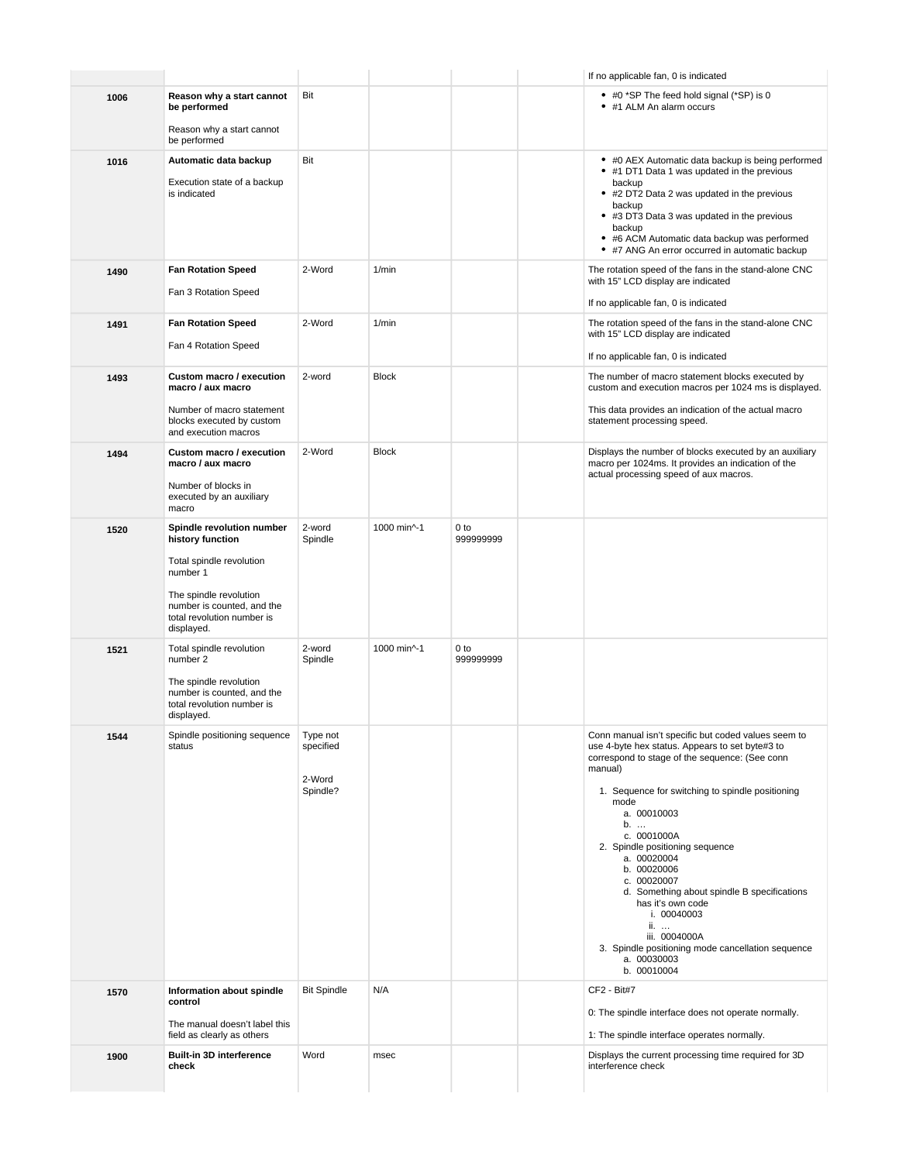|      |                                                                                                                                                                                           |                                             |              |                   | If no applicable fan, 0 is indicated                                                                                                                                                                                                                                                                                                                                                                                                                                                                                                              |
|------|-------------------------------------------------------------------------------------------------------------------------------------------------------------------------------------------|---------------------------------------------|--------------|-------------------|---------------------------------------------------------------------------------------------------------------------------------------------------------------------------------------------------------------------------------------------------------------------------------------------------------------------------------------------------------------------------------------------------------------------------------------------------------------------------------------------------------------------------------------------------|
| 1006 | Reason why a start cannot<br>be performed<br>Reason why a start cannot<br>be performed                                                                                                    | Bit                                         |              |                   | • #0 *SP The feed hold signal (*SP) is 0<br>• #1 ALM An alarm occurs                                                                                                                                                                                                                                                                                                                                                                                                                                                                              |
| 1016 | Automatic data backup<br>Execution state of a backup<br>is indicated                                                                                                                      | Bit                                         |              |                   | • #0 AEX Automatic data backup is being performed<br>• #1 DT1 Data 1 was updated in the previous<br>backup<br>• #2 DT2 Data 2 was updated in the previous<br>backup<br>• #3 DT3 Data 3 was updated in the previous<br>backup<br>• #6 ACM Automatic data backup was performed<br>• #7 ANG An error occurred in automatic backup                                                                                                                                                                                                                    |
| 1490 | <b>Fan Rotation Speed</b><br>Fan 3 Rotation Speed                                                                                                                                         | 2-Word                                      | 1/min        |                   | The rotation speed of the fans in the stand-alone CNC<br>with 15" LCD display are indicated<br>If no applicable fan, 0 is indicated                                                                                                                                                                                                                                                                                                                                                                                                               |
| 1491 | <b>Fan Rotation Speed</b><br>Fan 4 Rotation Speed                                                                                                                                         | 2-Word                                      | 1/min        |                   | The rotation speed of the fans in the stand-alone CNC<br>with 15" LCD display are indicated<br>If no applicable fan, 0 is indicated                                                                                                                                                                                                                                                                                                                                                                                                               |
| 1493 | Custom macro / execution<br>macro / aux macro<br>Number of macro statement<br>blocks executed by custom<br>and execution macros                                                           | 2-word                                      | <b>Block</b> |                   | The number of macro statement blocks executed by<br>custom and execution macros per 1024 ms is displayed.<br>This data provides an indication of the actual macro<br>statement processing speed.                                                                                                                                                                                                                                                                                                                                                  |
| 1494 | Custom macro / execution<br>macro / aux macro<br>Number of blocks in<br>executed by an auxiliary<br>macro                                                                                 | 2-Word                                      | <b>Block</b> |                   | Displays the number of blocks executed by an auxiliary<br>macro per 1024ms. It provides an indication of the<br>actual processing speed of aux macros.                                                                                                                                                                                                                                                                                                                                                                                            |
| 1520 | Spindle revolution number<br>history function<br>Total spindle revolution<br>number 1<br>The spindle revolution<br>number is counted, and the<br>total revolution number is<br>displayed. | 2-word<br>Spindle                           | 1000 min^-1  | 0 to<br>999999999 |                                                                                                                                                                                                                                                                                                                                                                                                                                                                                                                                                   |
| 1521 | Total spindle revolution<br>number 2<br>The spindle revolution<br>number is counted, and the<br>total revolution number is<br>displayed.                                                  | 2-word<br>Spindle                           | 1000 min^-1  | 0 to<br>999999999 |                                                                                                                                                                                                                                                                                                                                                                                                                                                                                                                                                   |
| 1544 | Spindle positioning sequence<br>status                                                                                                                                                    | Type not<br>specified<br>2-Word<br>Spindle? |              |                   | Conn manual isn't specific but coded values seem to<br>use 4-byte hex status. Appears to set byte#3 to<br>correspond to stage of the sequence: (See conn<br>manual)<br>1. Sequence for switching to spindle positioning<br>mode<br>a. 00010003<br>b.<br>c. 0001000A<br>2. Spindle positioning sequence<br>a. 00020004<br>b. 00020006<br>c. 00020007<br>d. Something about spindle B specifications<br>has it's own code<br>i. 00040003<br>ii.<br>iii. 0004000A<br>3. Spindle positioning mode cancellation sequence<br>a. 00030003<br>b. 00010004 |
| 1570 | Information about spindle<br>control<br>The manual doesn't label this<br>field as clearly as others                                                                                       | <b>Bit Spindle</b>                          | N/A          |                   | CF2 - Bit#7<br>0: The spindle interface does not operate normally.<br>1: The spindle interface operates normally.                                                                                                                                                                                                                                                                                                                                                                                                                                 |
| 1900 | <b>Built-in 3D interference</b><br>check                                                                                                                                                  | Word                                        | msec         |                   | Displays the current processing time required for 3D<br>interference check                                                                                                                                                                                                                                                                                                                                                                                                                                                                        |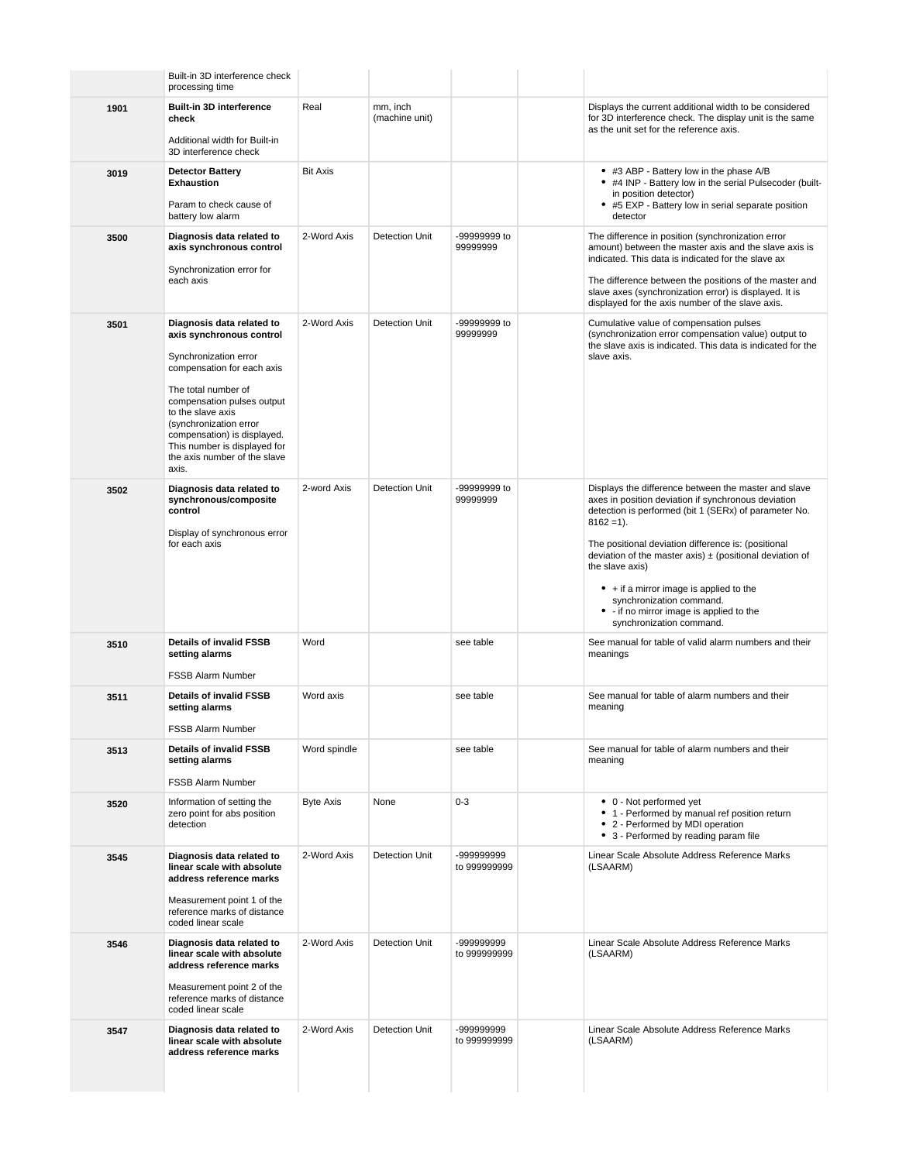|      | Built-in 3D interference check<br>processing time                                                                                                                                                                                                                                                                        |                  |                            |                            |                                                                                                                                                                                                                                                                                                                                                                                                                                                                                        |
|------|--------------------------------------------------------------------------------------------------------------------------------------------------------------------------------------------------------------------------------------------------------------------------------------------------------------------------|------------------|----------------------------|----------------------------|----------------------------------------------------------------------------------------------------------------------------------------------------------------------------------------------------------------------------------------------------------------------------------------------------------------------------------------------------------------------------------------------------------------------------------------------------------------------------------------|
| 1901 | <b>Built-in 3D interference</b><br>check<br>Additional width for Built-in<br>3D interference check                                                                                                                                                                                                                       | Real             | mm, inch<br>(machine unit) |                            | Displays the current additional width to be considered<br>for 3D interference check. The display unit is the same<br>as the unit set for the reference axis.                                                                                                                                                                                                                                                                                                                           |
| 3019 | <b>Detector Battery</b><br><b>Exhaustion</b><br>Param to check cause of<br>battery low alarm                                                                                                                                                                                                                             | <b>Bit Axis</b>  |                            |                            | • #3 ABP - Battery low in the phase A/B<br>• #4 INP - Battery low in the serial Pulsecoder (built-<br>in position detector)<br>• #5 EXP - Battery low in serial separate position<br>detector                                                                                                                                                                                                                                                                                          |
| 3500 | Diagnosis data related to<br>axis synchronous control<br>Synchronization error for<br>each axis                                                                                                                                                                                                                          | 2-Word Axis      | Detection Unit             | -99999999 to<br>99999999   | The difference in position (synchronization error<br>amount) between the master axis and the slave axis is<br>indicated. This data is indicated for the slave ax<br>The difference between the positions of the master and<br>slave axes (synchronization error) is displayed. It is<br>displayed for the axis number of the slave axis.                                                                                                                                               |
| 3501 | Diagnosis data related to<br>axis synchronous control<br>Synchronization error<br>compensation for each axis<br>The total number of<br>compensation pulses output<br>to the slave axis<br>(synchronization error<br>compensation) is displayed.<br>This number is displayed for<br>the axis number of the slave<br>axis. | 2-Word Axis      | Detection Unit             | -99999999 to<br>99999999   | Cumulative value of compensation pulses<br>(synchronization error compensation value) output to<br>the slave axis is indicated. This data is indicated for the<br>slave axis.                                                                                                                                                                                                                                                                                                          |
| 3502 | Diagnosis data related to<br>synchronous/composite<br>control<br>Display of synchronous error<br>for each axis                                                                                                                                                                                                           | 2-word Axis      | <b>Detection Unit</b>      | -99999999 to<br>99999999   | Displays the difference between the master and slave<br>axes in position deviation if synchronous deviation<br>detection is performed (bit 1 (SERx) of parameter No.<br>$8162 = 1$ ).<br>The positional deviation difference is: (positional<br>deviation of the master axis) $\pm$ (positional deviation of<br>the slave axis)<br>$\bullet$ + if a mirror image is applied to the<br>synchronization command.<br>• - if no mirror image is applied to the<br>synchronization command. |
| 3510 | <b>Details of invalid FSSB</b><br>setting alarms<br><b>FSSB Alarm Number</b>                                                                                                                                                                                                                                             | Word             |                            | see table                  | See manual for table of valid alarm numbers and their<br>meanings                                                                                                                                                                                                                                                                                                                                                                                                                      |
| 3511 | <b>Details of invalid FSSB</b><br>setting alarms<br>FSSB Alarm Number                                                                                                                                                                                                                                                    | Word axis        |                            | see table                  | See manual for table of alarm numbers and their<br>meaning                                                                                                                                                                                                                                                                                                                                                                                                                             |
| 3513 | <b>Details of invalid FSSB</b><br>setting alarms<br><b>FSSB Alarm Number</b>                                                                                                                                                                                                                                             | Word spindle     |                            | see table                  | See manual for table of alarm numbers and their<br>meaning                                                                                                                                                                                                                                                                                                                                                                                                                             |
| 3520 | Information of setting the<br>zero point for abs position<br>detection                                                                                                                                                                                                                                                   | <b>Byte Axis</b> | None                       | $0 - 3$                    | • 0 - Not performed yet<br>• 1 - Performed by manual ref position return<br>• 2 - Performed by MDI operation<br>• 3 - Performed by reading param file                                                                                                                                                                                                                                                                                                                                  |
| 3545 | Diagnosis data related to<br>linear scale with absolute<br>address reference marks<br>Measurement point 1 of the<br>reference marks of distance<br>coded linear scale                                                                                                                                                    | 2-Word Axis      | Detection Unit             | -999999999<br>to 999999999 | Linear Scale Absolute Address Reference Marks<br>(LSAARM)                                                                                                                                                                                                                                                                                                                                                                                                                              |
| 3546 | Diagnosis data related to<br>linear scale with absolute<br>address reference marks<br>Measurement point 2 of the<br>reference marks of distance<br>coded linear scale                                                                                                                                                    | 2-Word Axis      | Detection Unit             | -999999999<br>to 999999999 | Linear Scale Absolute Address Reference Marks<br>(LSAARM)                                                                                                                                                                                                                                                                                                                                                                                                                              |
| 3547 | Diagnosis data related to<br>linear scale with absolute<br>address reference marks                                                                                                                                                                                                                                       | 2-Word Axis      | Detection Unit             | -999999999<br>to 999999999 | Linear Scale Absolute Address Reference Marks<br>(LSAARM)                                                                                                                                                                                                                                                                                                                                                                                                                              |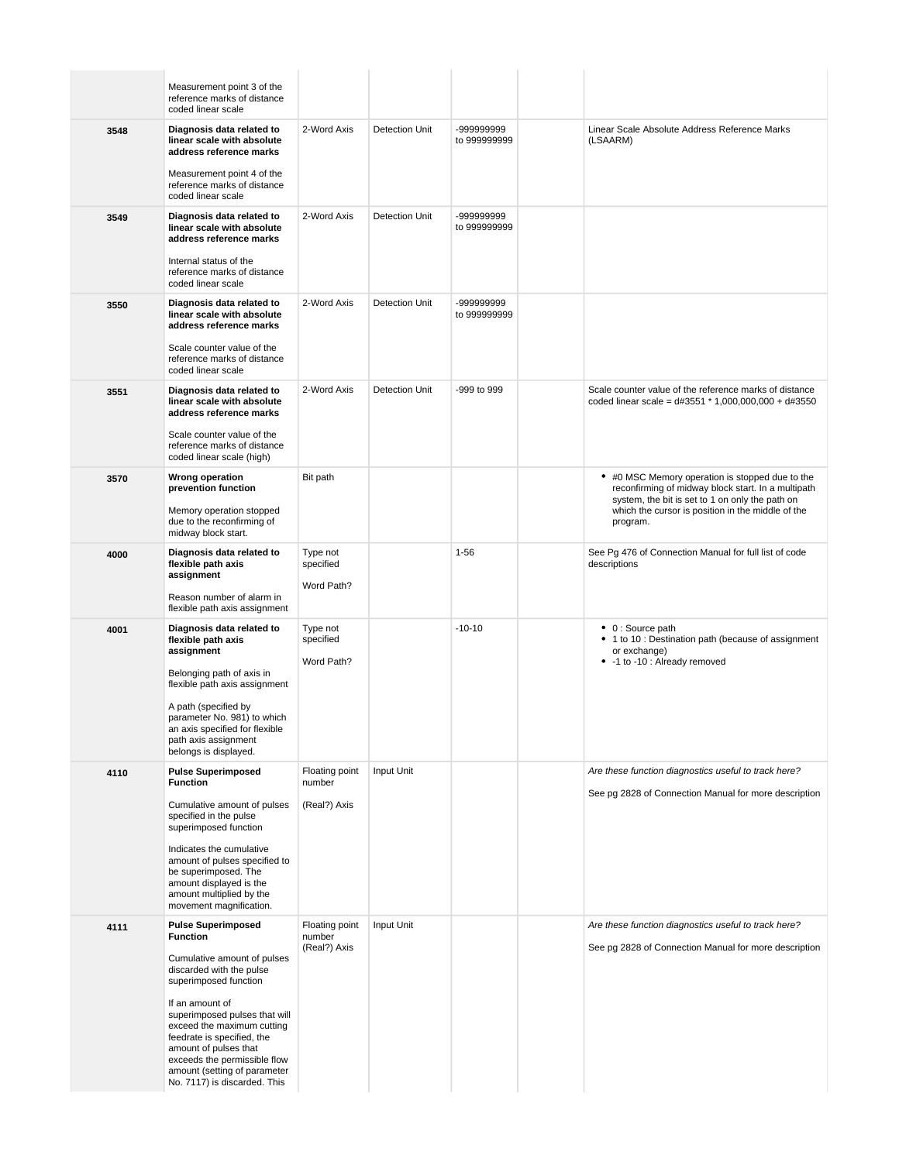|      | Measurement point 3 of the<br>reference marks of distance<br>coded linear scale                                                                                                                                                                                                                                                                                           |                                          |                       |                            |                                                                                                                                                                                                                           |
|------|---------------------------------------------------------------------------------------------------------------------------------------------------------------------------------------------------------------------------------------------------------------------------------------------------------------------------------------------------------------------------|------------------------------------------|-----------------------|----------------------------|---------------------------------------------------------------------------------------------------------------------------------------------------------------------------------------------------------------------------|
| 3548 | Diagnosis data related to<br>linear scale with absolute<br>address reference marks<br>Measurement point 4 of the<br>reference marks of distance<br>coded linear scale                                                                                                                                                                                                     | 2-Word Axis                              | Detection Unit        | -999999999<br>to 999999999 | Linear Scale Absolute Address Reference Marks<br>(LSAARM)                                                                                                                                                                 |
| 3549 | Diagnosis data related to<br>linear scale with absolute<br>address reference marks<br>Internal status of the<br>reference marks of distance<br>coded linear scale                                                                                                                                                                                                         | 2-Word Axis                              | Detection Unit        | -999999999<br>to 999999999 |                                                                                                                                                                                                                           |
| 3550 | Diagnosis data related to<br>linear scale with absolute<br>address reference marks<br>Scale counter value of the<br>reference marks of distance<br>coded linear scale                                                                                                                                                                                                     | 2-Word Axis                              | Detection Unit        | -999999999<br>to 999999999 |                                                                                                                                                                                                                           |
| 3551 | Diagnosis data related to<br>linear scale with absolute<br>address reference marks<br>Scale counter value of the<br>reference marks of distance<br>coded linear scale (high)                                                                                                                                                                                              | 2-Word Axis                              | <b>Detection Unit</b> | -999 to 999                | Scale counter value of the reference marks of distance<br>coded linear scale = $dt$ 3551 $*$ 1,000,000,000 + $dt$ 3550                                                                                                    |
| 3570 | <b>Wrong operation</b><br>prevention function<br>Memory operation stopped<br>due to the reconfirming of<br>midway block start.                                                                                                                                                                                                                                            | Bit path                                 |                       |                            | • #0 MSC Memory operation is stopped due to the<br>reconfirming of midway block start. In a multipath<br>system, the bit is set to 1 on only the path on<br>which the cursor is position in the middle of the<br>program. |
| 4000 | Diagnosis data related to<br>flexible path axis<br>assignment<br>Reason number of alarm in<br>flexible path axis assignment                                                                                                                                                                                                                                               | Type not<br>specified<br>Word Path?      |                       | $1 - 56$                   | See Pg 476 of Connection Manual for full list of code<br>descriptions                                                                                                                                                     |
| 4001 | Diagnosis data related to<br>flexible path axis<br>assignment<br>Belonging path of axis in<br>flexible path axis assignment<br>A path (specified by<br>parameter No. 981) to which<br>an axis specified for flexible<br>path axis assignment<br>belongs is displayed.                                                                                                     | Type not<br>specified<br>Word Path?      |                       | $-10-10$                   | • 0: Source path<br>• 1 to 10 : Destination path (because of assignment<br>or exchange)<br>• -1 to -10 : Already removed                                                                                                  |
| 4110 | <b>Pulse Superimposed</b><br><b>Function</b><br>Cumulative amount of pulses<br>specified in the pulse<br>superimposed function<br>Indicates the cumulative<br>amount of pulses specified to<br>be superimposed. The<br>amount displayed is the<br>amount multiplied by the<br>movement magnification.                                                                     | Floating point<br>number<br>(Real?) Axis | Input Unit            |                            | Are these function diagnostics useful to track here?<br>See pg 2828 of Connection Manual for more description                                                                                                             |
| 4111 | <b>Pulse Superimposed</b><br><b>Function</b><br>Cumulative amount of pulses<br>discarded with the pulse<br>superimposed function<br>If an amount of<br>superimposed pulses that will<br>exceed the maximum cutting<br>feedrate is specified, the<br>amount of pulses that<br>exceeds the permissible flow<br>amount (setting of parameter<br>No. 7117) is discarded. This | Floating point<br>number<br>(Real?) Axis | Input Unit            |                            | Are these function diagnostics useful to track here?<br>See pg 2828 of Connection Manual for more description                                                                                                             |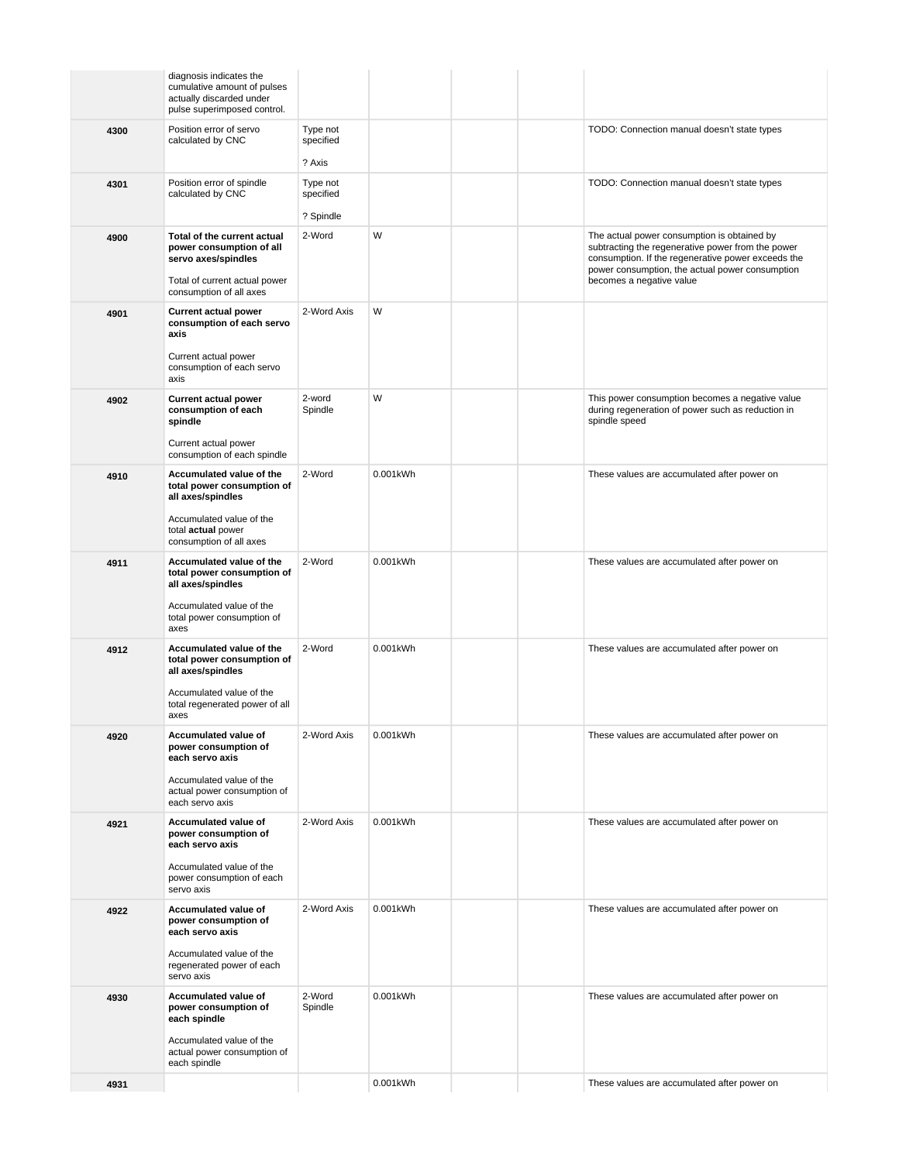|      | diagnosis indicates the<br>cumulative amount of pulses<br>actually discarded under<br>pulse superimposed control.                                        |                                    |          |  |                                                                                                                                                                                                                                       |
|------|----------------------------------------------------------------------------------------------------------------------------------------------------------|------------------------------------|----------|--|---------------------------------------------------------------------------------------------------------------------------------------------------------------------------------------------------------------------------------------|
| 4300 | Position error of servo<br>calculated by CNC                                                                                                             | Type not<br>specified<br>? Axis    |          |  | TODO: Connection manual doesn't state types                                                                                                                                                                                           |
| 4301 | Position error of spindle<br>calculated by CNC                                                                                                           | Type not<br>specified<br>? Spindle |          |  | TODO: Connection manual doesn't state types                                                                                                                                                                                           |
| 4900 | Total of the current actual<br>power consumption of all<br>servo axes/spindles<br>Total of current actual power<br>consumption of all axes               | 2-Word                             | W        |  | The actual power consumption is obtained by<br>subtracting the regenerative power from the power<br>consumption. If the regenerative power exceeds the<br>power consumption, the actual power consumption<br>becomes a negative value |
| 4901 | <b>Current actual power</b><br>consumption of each servo<br>axis<br>Current actual power<br>consumption of each servo<br>axis                            | 2-Word Axis                        | W        |  |                                                                                                                                                                                                                                       |
| 4902 | <b>Current actual power</b><br>consumption of each<br>spindle<br>Current actual power<br>consumption of each spindle                                     | 2-word<br>Spindle                  | W        |  | This power consumption becomes a negative value<br>during regeneration of power such as reduction in<br>spindle speed                                                                                                                 |
| 4910 | Accumulated value of the<br>total power consumption of<br>all axes/spindles<br>Accumulated value of the<br>total actual power<br>consumption of all axes | 2-Word                             | 0.001kWh |  | These values are accumulated after power on                                                                                                                                                                                           |
| 4911 | Accumulated value of the<br>total power consumption of<br>all axes/spindles<br>Accumulated value of the<br>total power consumption of<br>axes            | 2-Word                             | 0.001kWh |  | These values are accumulated after power on                                                                                                                                                                                           |
| 4912 | Accumulated value of the<br>total power consumption of<br>all axes/spindles<br>Accumulated value of the<br>total regenerated power of all<br>axes        | 2-Word                             | 0.001kWh |  | These values are accumulated after power on                                                                                                                                                                                           |
| 4920 | Accumulated value of<br>power consumption of<br>each servo axis<br>Accumulated value of the<br>actual power consumption of<br>each servo axis            | 2-Word Axis                        | 0.001kWh |  | These values are accumulated after power on                                                                                                                                                                                           |
| 4921 | Accumulated value of<br>power consumption of<br>each servo axis<br>Accumulated value of the<br>power consumption of each<br>servo axis                   | 2-Word Axis                        | 0.001kWh |  | These values are accumulated after power on                                                                                                                                                                                           |
| 4922 | Accumulated value of<br>power consumption of<br>each servo axis<br>Accumulated value of the<br>regenerated power of each<br>servo axis                   | 2-Word Axis                        | 0.001kWh |  | These values are accumulated after power on                                                                                                                                                                                           |
| 4930 | Accumulated value of<br>power consumption of<br>each spindle<br>Accumulated value of the<br>actual power consumption of<br>each spindle                  | 2-Word<br>Spindle                  | 0.001kWh |  | These values are accumulated after power on                                                                                                                                                                                           |
| 4931 |                                                                                                                                                          |                                    | 0.001kWh |  | These values are accumulated after power on                                                                                                                                                                                           |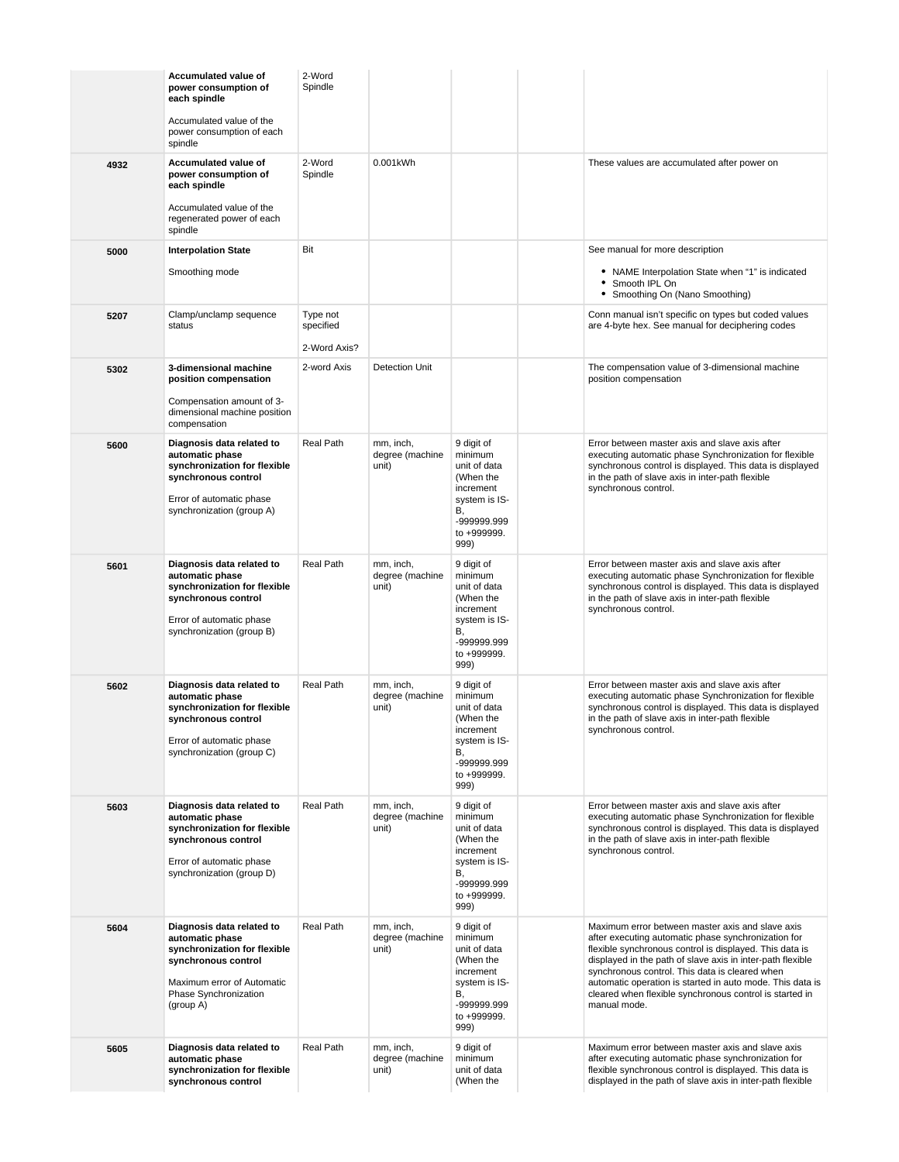|      | Accumulated value of<br>power consumption of<br>each spindle<br>Accumulated value of the<br>power consumption of each<br>spindle                                        | 2-Word<br>Spindle                     |                                       |                                                                                                                              |                                                                                                                                                                                                                                                                                                                                                                                                                            |
|------|-------------------------------------------------------------------------------------------------------------------------------------------------------------------------|---------------------------------------|---------------------------------------|------------------------------------------------------------------------------------------------------------------------------|----------------------------------------------------------------------------------------------------------------------------------------------------------------------------------------------------------------------------------------------------------------------------------------------------------------------------------------------------------------------------------------------------------------------------|
| 4932 | Accumulated value of<br>power consumption of<br>each spindle<br>Accumulated value of the<br>regenerated power of each<br>spindle                                        | 2-Word<br>Spindle                     | 0.001kWh                              |                                                                                                                              | These values are accumulated after power on                                                                                                                                                                                                                                                                                                                                                                                |
| 5000 | <b>Interpolation State</b><br>Smoothing mode                                                                                                                            | Bit                                   |                                       |                                                                                                                              | See manual for more description<br>• NAME Interpolation State when "1" is indicated<br>• Smooth IPL On<br>• Smoothing On (Nano Smoothing)                                                                                                                                                                                                                                                                                  |
| 5207 | Clamp/unclamp sequence<br>status                                                                                                                                        | Type not<br>specified<br>2-Word Axis? |                                       |                                                                                                                              | Conn manual isn't specific on types but coded values<br>are 4-byte hex. See manual for deciphering codes                                                                                                                                                                                                                                                                                                                   |
| 5302 | 3-dimensional machine<br>position compensation<br>Compensation amount of 3-<br>dimensional machine position<br>compensation                                             | 2-word Axis                           | <b>Detection Unit</b>                 |                                                                                                                              | The compensation value of 3-dimensional machine<br>position compensation                                                                                                                                                                                                                                                                                                                                                   |
| 5600 | Diagnosis data related to<br>automatic phase<br>synchronization for flexible<br>synchronous control<br>Error of automatic phase<br>synchronization (group A)            | Real Path                             | mm, inch,<br>degree (machine<br>unit) | 9 digit of<br>minimum<br>unit of data<br>(When the<br>increment<br>system is IS-<br>В,<br>-999999.999<br>to +999999.<br>999) | Error between master axis and slave axis after<br>executing automatic phase Synchronization for flexible<br>synchronous control is displayed. This data is displayed<br>in the path of slave axis in inter-path flexible<br>synchronous control.                                                                                                                                                                           |
| 5601 | Diagnosis data related to<br>automatic phase<br>synchronization for flexible<br>synchronous control<br>Error of automatic phase<br>synchronization (group B)            | Real Path                             | mm, inch,<br>degree (machine<br>unit) | 9 digit of<br>minimum<br>unit of data<br>(When the<br>increment<br>system is IS-<br>В,<br>-999999.999<br>to +999999.<br>999) | Error between master axis and slave axis after<br>executing automatic phase Synchronization for flexible<br>synchronous control is displayed. This data is displayed<br>in the path of slave axis in inter-path flexible<br>synchronous control.                                                                                                                                                                           |
| 5602 | Diagnosis data related to<br>automatic phase<br>synchronization for flexible<br>synchronous control<br>Error of automatic phase<br>synchronization (group C)            | Real Path                             | mm, inch,<br>degree (machine<br>unit) | 9 digit of<br>minimum<br>unit of data<br>(When the<br>increment<br>system is IS-<br>В,<br>-999999.999<br>to +999999.<br>999) | Error between master axis and slave axis after<br>executing automatic phase Synchronization for flexible<br>synchronous control is displayed. This data is displayed<br>in the path of slave axis in inter-path flexible<br>synchronous control.                                                                                                                                                                           |
| 5603 | Diagnosis data related to<br>automatic phase<br>synchronization for flexible<br>synchronous control<br>Error of automatic phase<br>synchronization (group D)            | Real Path                             | mm, inch,<br>degree (machine<br>unit) | 9 digit of<br>minimum<br>unit of data<br>(When the<br>increment<br>system is IS-<br>В,<br>-999999.999<br>to +999999.<br>999) | Error between master axis and slave axis after<br>executing automatic phase Synchronization for flexible<br>synchronous control is displayed. This data is displayed<br>in the path of slave axis in inter-path flexible<br>synchronous control.                                                                                                                                                                           |
| 5604 | Diagnosis data related to<br>automatic phase<br>synchronization for flexible<br>synchronous control<br>Maximum error of Automatic<br>Phase Synchronization<br>(group A) | Real Path                             | mm, inch,<br>degree (machine<br>unit) | 9 digit of<br>minimum<br>unit of data<br>(When the<br>increment<br>system is IS-<br>В,<br>-999999.999<br>to +999999.<br>999) | Maximum error between master axis and slave axis<br>after executing automatic phase synchronization for<br>flexible synchronous control is displayed. This data is<br>displayed in the path of slave axis in inter-path flexible<br>synchronous control. This data is cleared when<br>automatic operation is started in auto mode. This data is<br>cleared when flexible synchronous control is started in<br>manual mode. |
| 5605 | Diagnosis data related to<br>automatic phase<br>synchronization for flexible<br>synchronous control                                                                     | Real Path                             | mm, inch,<br>degree (machine<br>unit) | 9 digit of<br>minimum<br>unit of data<br>(When the                                                                           | Maximum error between master axis and slave axis<br>after executing automatic phase synchronization for<br>flexible synchronous control is displayed. This data is<br>displayed in the path of slave axis in inter-path flexible                                                                                                                                                                                           |